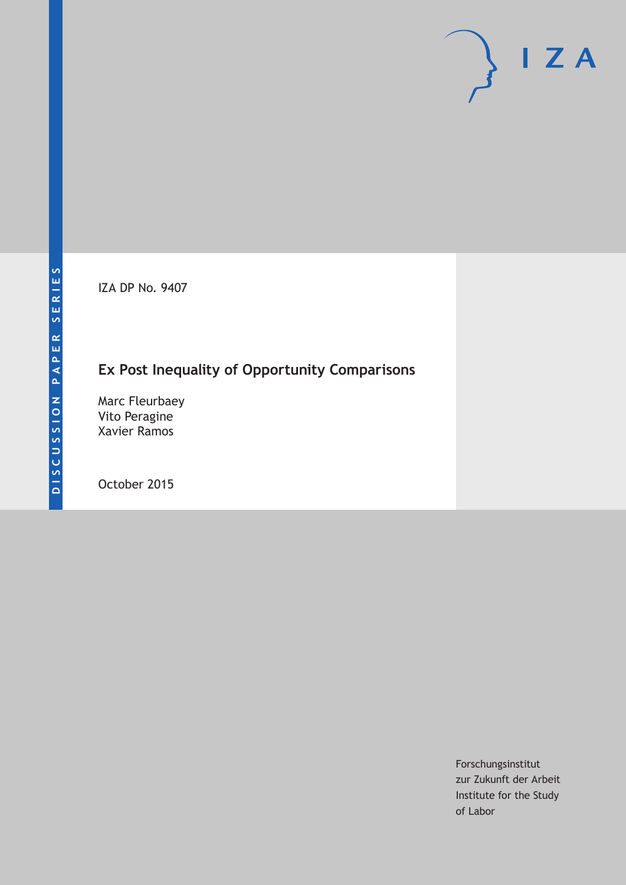IZA DP No. 9407

## **Ex Post Inequality of Opportunity Comparisons**

Marc Fleurbaey Vito Peragine Xavier Ramos

October 2015

Forschungsinstitut zur Zukunft der Arbeit Institute for the Study of Labor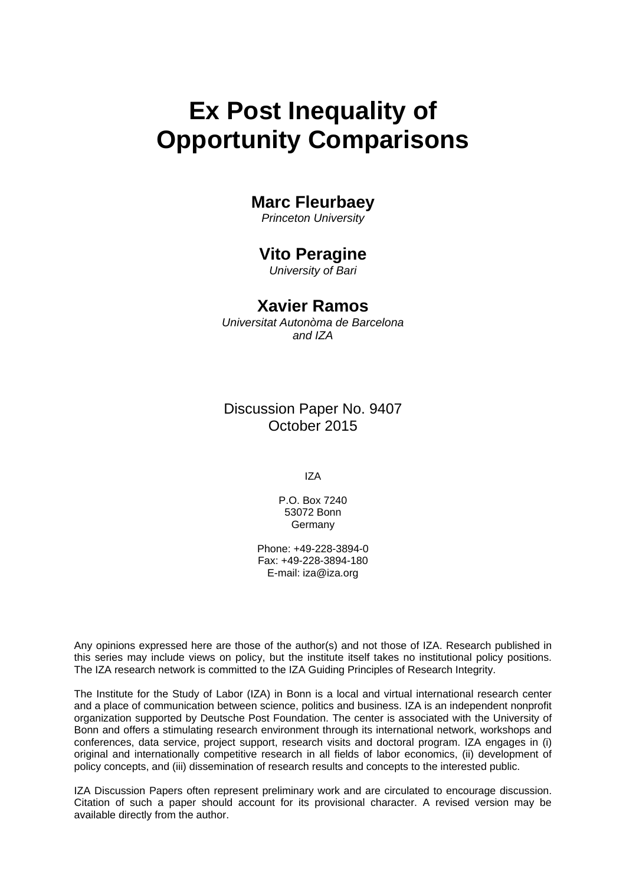# **Ex Post Inequality of Opportunity Comparisons**

## **Marc Fleurbaey**

*Princeton University* 

## **Vito Peragine**

*University of Bari* 

## **Xavier Ramos**

*Universitat Autonòma de Barcelona and IZA*

Discussion Paper No. 9407 October 2015

IZA

P.O. Box 7240 53072 Bonn Germany

Phone: +49-228-3894-0 Fax: +49-228-3894-180 E-mail: iza@iza.org

Any opinions expressed here are those of the author(s) and not those of IZA. Research published in this series may include views on policy, but the institute itself takes no institutional policy positions. The IZA research network is committed to the IZA Guiding Principles of Research Integrity.

The Institute for the Study of Labor (IZA) in Bonn is a local and virtual international research center and a place of communication between science, politics and business. IZA is an independent nonprofit organization supported by Deutsche Post Foundation. The center is associated with the University of Bonn and offers a stimulating research environment through its international network, workshops and conferences, data service, project support, research visits and doctoral program. IZA engages in (i) original and internationally competitive research in all fields of labor economics, (ii) development of policy concepts, and (iii) dissemination of research results and concepts to the interested public.

IZA Discussion Papers often represent preliminary work and are circulated to encourage discussion. Citation of such a paper should account for its provisional character. A revised version may be available directly from the author.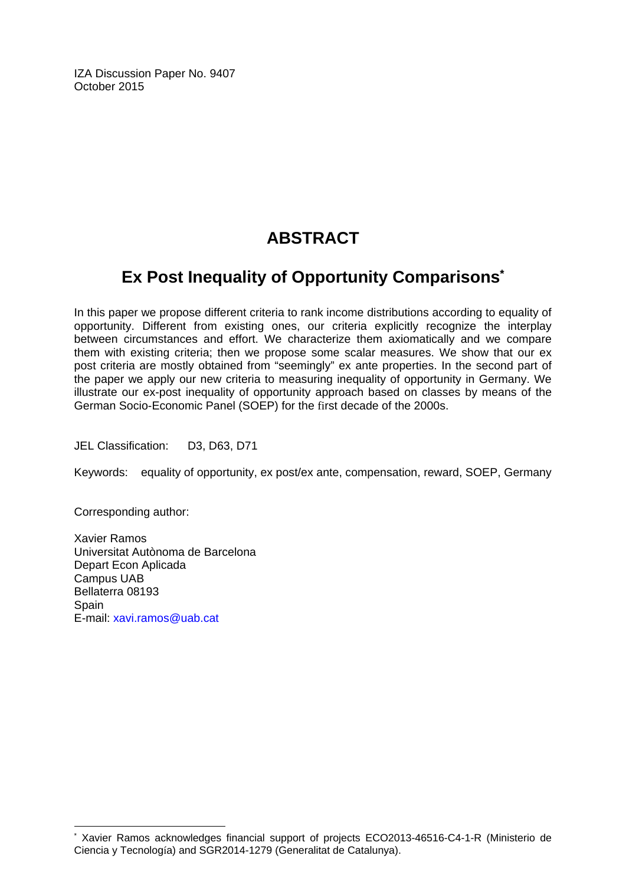IZA Discussion Paper No. 9407 October 2015

## **ABSTRACT**

## **Ex Post Inequality of Opportunity Comparisons\***

In this paper we propose different criteria to rank income distributions according to equality of opportunity. Different from existing ones, our criteria explicitly recognize the interplay between circumstances and effort. We characterize them axiomatically and we compare them with existing criteria; then we propose some scalar measures. We show that our ex post criteria are mostly obtained from "seemingly" ex ante properties. In the second part of the paper we apply our new criteria to measuring inequality of opportunity in Germany. We illustrate our ex-post inequality of opportunity approach based on classes by means of the German Socio-Economic Panel (SOEP) for the first decade of the 2000s.

JEL Classification: D3, D63, D71

Keywords: equality of opportunity, ex post/ex ante, compensation, reward, SOEP, Germany

Corresponding author:

 $\overline{a}$ 

Xavier Ramos Universitat Autònoma de Barcelona Depart Econ Aplicada Campus UAB Bellaterra 08193 **Spain** E-mail: xavi.ramos@uab.cat

<sup>\*</sup> Xavier Ramos acknowledges financial support of projects ECO2013-46516-C4-1-R (Ministerio de Ciencia y Tecnología) and SGR2014-1279 (Generalitat de Catalunya).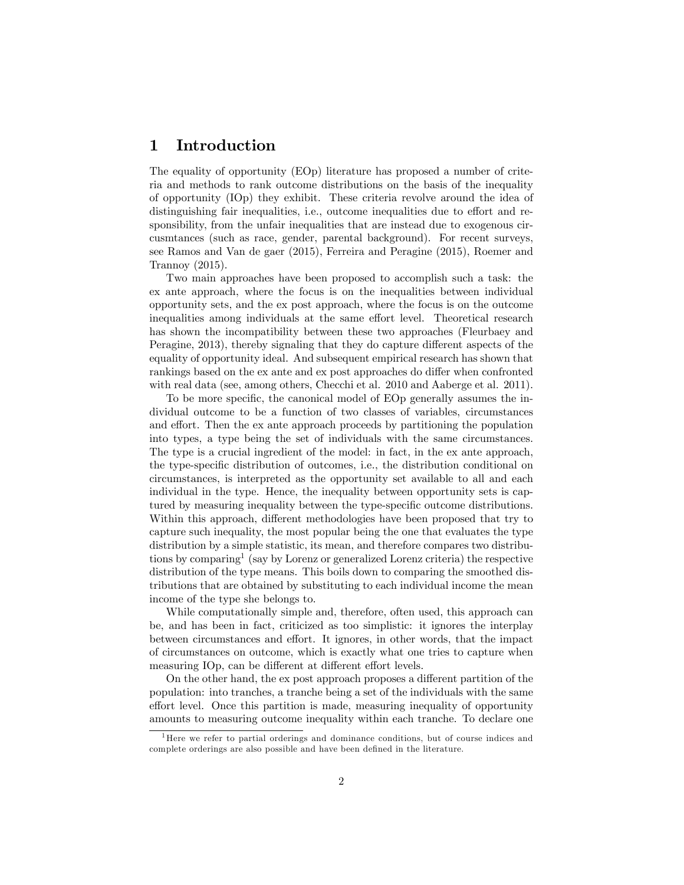## 1 Introduction

The equality of opportunity (EOp) literature has proposed a number of criteria and methods to rank outcome distributions on the basis of the inequality of opportunity (IOp) they exhibit. These criteria revolve around the idea of distinguishing fair inequalities, i.e., outcome inequalities due to effort and responsibility, from the unfair inequalities that are instead due to exogenous circusmtances (such as race, gender, parental background). For recent surveys, see Ramos and Van de gaer (2015), Ferreira and Peragine (2015), Roemer and Trannoy (2015).

Two main approaches have been proposed to accomplish such a task: the ex ante approach, where the focus is on the inequalities between individual opportunity sets, and the ex post approach, where the focus is on the outcome inequalities among individuals at the same effort level. Theoretical research has shown the incompatibility between these two approaches (Fleurbaey and Peragine, 2013), thereby signaling that they do capture different aspects of the equality of opportunity ideal. And subsequent empirical research has shown that rankings based on the ex ante and ex post approaches do differ when confronted with real data (see, among others, Checchi et al. 2010 and Aaberge et al. 2011).

To be more specific, the canonical model of EOp generally assumes the individual outcome to be a function of two classes of variables, circumstances and effort. Then the ex ante approach proceeds by partitioning the population into types, a type being the set of individuals with the same circumstances. The type is a crucial ingredient of the model: in fact, in the ex ante approach, the type-speciÖc distribution of outcomes, i.e., the distribution conditional on circumstances, is interpreted as the opportunity set available to all and each individual in the type. Hence, the inequality between opportunity sets is captured by measuring inequality between the type-specific outcome distributions. Within this approach, different methodologies have been proposed that try to capture such inequality, the most popular being the one that evaluates the type distribution by a simple statistic, its mean, and therefore compares two distributions by comparing<sup>1</sup> (say by Lorenz or generalized Lorenz criteria) the respective distribution of the type means. This boils down to comparing the smoothed distributions that are obtained by substituting to each individual income the mean income of the type she belongs to.

While computationally simple and, therefore, often used, this approach can be, and has been in fact, criticized as too simplistic: it ignores the interplay between circumstances and effort. It ignores, in other words, that the impact of circumstances on outcome, which is exactly what one tries to capture when measuring IOp, can be different at different effort levels.

On the other hand, the expost approach proposes a different partition of the population: into tranches, a tranche being a set of the individuals with the same effort level. Once this partition is made, measuring inequality of opportunity amounts to measuring outcome inequality within each tranche. To declare one

 $<sup>1</sup>$  Here we refer to partial orderings and dominance conditions, but of course indices and</sup> complete orderings are also possible and have been defined in the literature.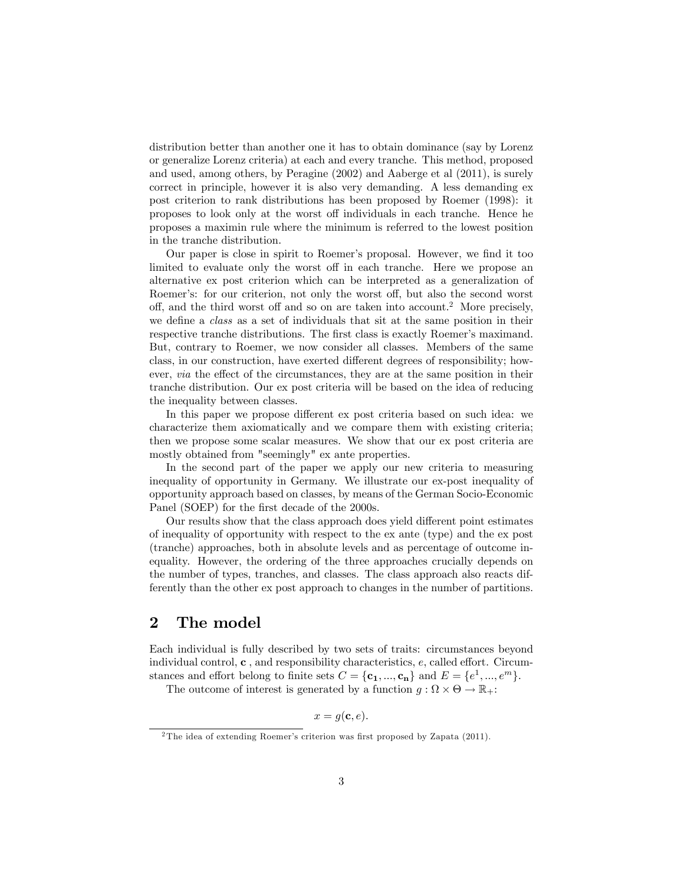distribution better than another one it has to obtain dominance (say by Lorenz or generalize Lorenz criteria) at each and every tranche. This method, proposed and used, among others, by Peragine (2002) and Aaberge et al (2011), is surely correct in principle, however it is also very demanding. A less demanding ex post criterion to rank distributions has been proposed by Roemer (1998): it proposes to look only at the worst off individuals in each tranche. Hence he proposes a maximin rule where the minimum is referred to the lowest position in the tranche distribution.

Our paper is close in spirit to Roemer's proposal. However, we find it too limited to evaluate only the worst off in each tranche. Here we propose an alternative ex post criterion which can be interpreted as a generalization of Roemer's: for our criterion, not only the worst off, but also the second worst off, and the third worst off and so on are taken into account.<sup>2</sup> More precisely, we define a *class* as a set of individuals that sit at the same position in their respective tranche distributions. The first class is exactly Roemer's maximand. But, contrary to Roemer, we now consider all classes. Members of the same class, in our construction, have exerted different degrees of responsibility; however, *via* the effect of the circumstances, they are at the same position in their tranche distribution. Our ex post criteria will be based on the idea of reducing the inequality between classes.

In this paper we propose different ex post criteria based on such idea: we characterize them axiomatically and we compare them with existing criteria; then we propose some scalar measures. We show that our ex post criteria are mostly obtained from "seemingly" ex ante properties.

In the second part of the paper we apply our new criteria to measuring inequality of opportunity in Germany. We illustrate our ex-post inequality of opportunity approach based on classes, by means of the German Socio-Economic Panel (SOEP) for the first decade of the 2000s.

Our results show that the class approach does yield different point estimates of inequality of opportunity with respect to the ex ante (type) and the ex post (tranche) approaches, both in absolute levels and as percentage of outcome inequality. However, the ordering of the three approaches crucially depends on the number of types, tranches, and classes. The class approach also reacts differently than the other ex post approach to changes in the number of partitions.

### 2 The model

Each individual is fully described by two sets of traits: circumstances beyond individual control,  $\mathbf c$ , and responsibility characteristics,  $e$ , called effort. Circumstances and effort belong to finite sets  $C = {\mathbf{c}_1, ..., \mathbf{c}_n}$  and  $E = \{e^1, ..., e^m\}.$ 

The outcome of interest is generated by a function  $g : \Omega \times \Theta \to \mathbb{R}_+$ :

 $x = q(\mathbf{c}, e)$ .

 $2$ The idea of extending Roemer's criterion was first proposed by Zapata (2011).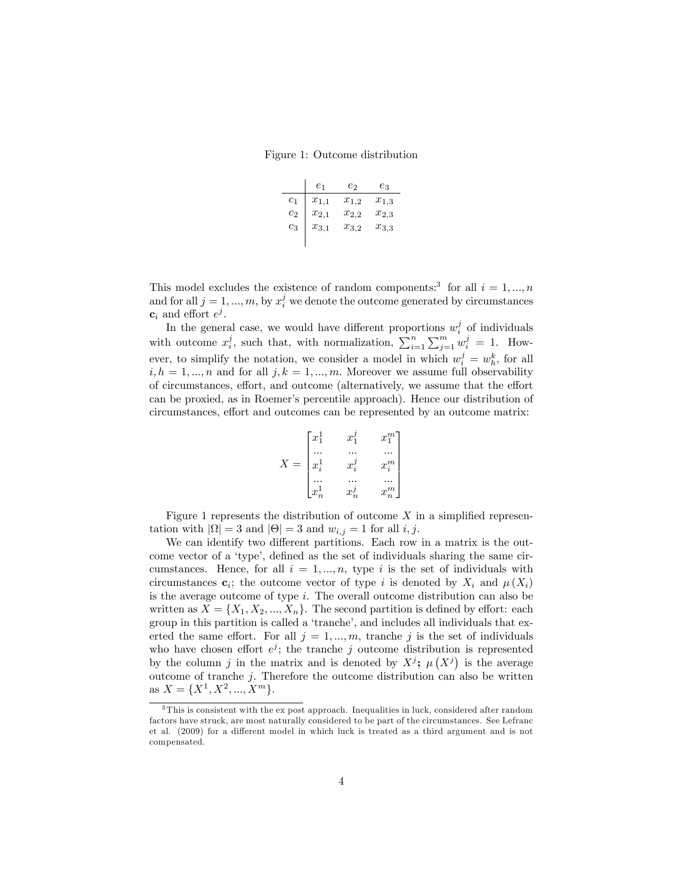Figure 1: Outcome distribution

|          | $\scriptstyle{e_1}$ | $e_2$     | eз        |
|----------|---------------------|-----------|-----------|
| $_{c_1}$ | $x_{1,1}$           | $x_{1,2}$ | $x_{1,3}$ |
| $c_2$    | $x_{2,1}$           | $x_{2,2}$ | $x_{2,3}$ |
| $c_3$    | $x_{3,1}$           | $x_{3,2}$ | $x_{3,3}$ |
|          |                     |           |           |

This model excludes the existence of random components:<sup>3</sup> for all  $i = 1, ..., n$ and for all  $j = 1, ..., m$ , by  $x_i^j$  we denote the outcome generated by circumstances  $\mathbf{c}_i$  and effort  $e^j$ .

In the general case, we would have different proportions  $w_i^j$  of individuals with outcome  $x_i^j$ , such that, with normalization,  $\sum_{i=1}^n \sum_{j=1}^m w_i^j = 1$ . However, to simplify the notation, we consider a model in which  $w_i^j = w_h^k$ , for all  $i, h = 1, ..., n$  and for all  $j, k = 1, ..., m$ . Moreover we assume full observability of circumstances, effort, and outcome (alternatively, we assume that the effort can be proxied, as in Roemerís percentile approach). Hence our distribution of circumstances, effort and outcomes can be represented by an outcome matrix:

$$
X = \begin{bmatrix} x_1^1 & x_1^j & x_1^m \\ ... & ... & ... \\ x_i^1 & x_i^j & x_i^m \\ ... & ... & ... \\ x_n^1 & x_n^j & x_n^m \end{bmatrix}
$$

Figure 1 represents the distribution of outcome  $X$  in a simplified representation with  $|\Omega| = 3$  and  $|\Theta| = 3$  and  $w_{i,j} = 1$  for all  $i, j$ .

We can identify two different partitions. Each row in a matrix is the outcome vector of a 'type', defined as the set of individuals sharing the same circumstances. Hence, for all  $i = 1, \ldots, n$ , type i is the set of individuals with circumstances  $\mathbf{c}_i$ ; the outcome vector of type i is denoted by  $X_i$  and  $\mu(X_i)$ is the average outcome of type  $i$ . The overall outcome distribution can also be written as  $X = \{X_1, X_2, ..., X_n\}$ . The second partition is defined by effort: each group in this partition is called a 'tranche', and includes all individuals that exerted the same effort. For all  $j = 1, ..., m$ , tranche j is the set of individuals who have chosen effort  $e^j$ ; the tranche j outcome distribution is represented by the column j in the matrix and is denoted by  $X^j$ ;  $\mu(X^j)$  is the average outcome of tranche  $j$ . Therefore the outcome distribution can also be written as  $X = \{X^1, X^2, ..., X^m\}.$ 

<sup>3</sup> This is consistent with the ex post approach. Inequalities in luck, considered after random factors have struck, are most naturally considered to be part of the circumstances. See Lefranc et al. (2009) for a different model in which luck is treated as a third argument and is not compensated.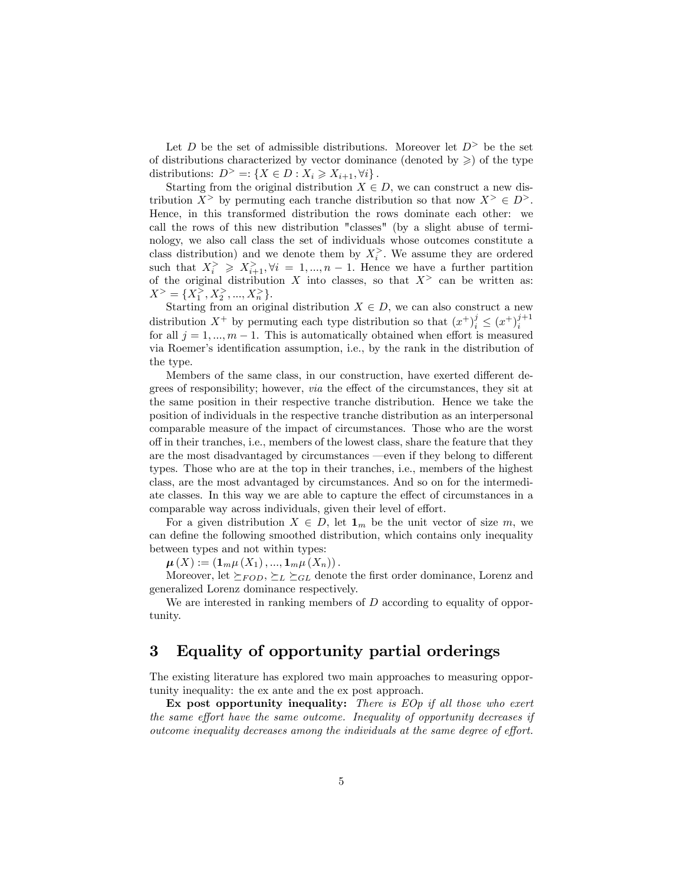Let  $D$  be the set of admissible distributions. Moreover let  $D^>$  be the set of distributions characterized by vector dominance (denoted by  $\geqslant$ ) of the type distributions:  $D^> =: \{ X \in D : X_i \geq X_{i+1}, \forall i \}.$ 

Starting from the original distribution  $X \in D$ , we can construct a new distribution  $X^>$  by permuting each tranche distribution so that now  $X^> \in D^>$ . Hence, in this transformed distribution the rows dominate each other: we call the rows of this new distribution "classes" (by a slight abuse of terminology, we also call class the set of individuals whose outcomes constitute a class distribution) and we denote them by  $X_i^>$ . We assume they are ordered such that  $X_i^{\geq} \geq X_{i+1}^{\geq}, \forall i = 1, ..., n-1$ . Hence we have a further partition of the original distribution X into classes, so that  $X^>$  can be written as:  $X^> = \{X_1^>, X_2^>, ..., X_n^*\}.$ 

Starting from an original distribution  $X \in D$ , we can also construct a new distribution  $X^+$  by permuting each type distribution so that  $(x^+)_i^j \le (x^+)_i^{j+1}$ i for all  $j = 1, ..., m - 1$ . This is automatically obtained when effort is measured via Roemer's identification assumption, i.e., by the rank in the distribution of the type.

Members of the same class, in our construction, have exerted different degrees of responsibility; however, *via* the effect of the circumstances, they sit at the same position in their respective tranche distribution. Hence we take the position of individuals in the respective tranche distribution as an interpersonal comparable measure of the impact of circumstances. Those who are the worst o§ in their tranches, i.e., members of the lowest class, share the feature that they are the most disadvantaged by circumstances —even if they belong to different types. Those who are at the top in their tranches, i.e., members of the highest class, are the most advantaged by circumstances. And so on for the intermediate classes. In this way we are able to capture the effect of circumstances in a comparable way across individuals, given their level of effort.

For a given distribution  $X \in D$ , let  $\mathbf{1}_m$  be the unit vector of size m, we can define the following smoothed distribution, which contains only inequality between types and not within types:

 $\mu(X) := (1_m \mu(X_1), ..., 1_m \mu(X_n)).$ 

Moreover, let  $\succeq_{FOD}$ ,  $\succeq_{L} \succeq_{GL}$  denote the first order dominance, Lorenz and generalized Lorenz dominance respectively.

We are interested in ranking members of D according to equality of opportunity.

## 3 Equality of opportunity partial orderings

The existing literature has explored two main approaches to measuring opportunity inequality: the ex ante and the ex post approach.

Ex post opportunity inequality: There is  $EOp$  if all those who exert the same effort have the same outcome. Inequality of opportunity decreases if outcome inequality decreases among the individuals at the same degree of effort.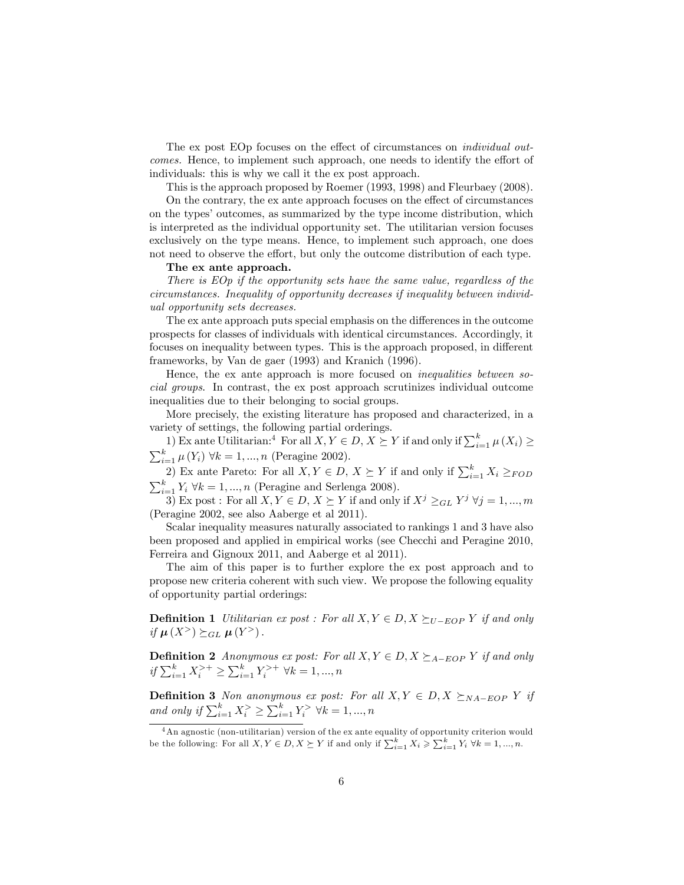The ex post EOp focuses on the effect of circumstances on *individual out*comes. Hence, to implement such approach, one needs to identify the effort of individuals: this is why we call it the ex post approach.

This is the approach proposed by Roemer (1993, 1998) and Fleurbaey (2008).

On the contrary, the ex ante approach focuses on the effect of circumstances on the types' outcomes, as summarized by the type income distribution, which is interpreted as the individual opportunity set. The utilitarian version focuses exclusively on the type means. Hence, to implement such approach, one does not need to observe the effort, but only the outcome distribution of each type.

#### The ex ante approach.

There is EOp if the opportunity sets have the same value, regardless of the circumstances. Inequality of opportunity decreases if inequality between individual opportunity sets decreases.

The ex ante approach puts special emphasis on the differences in the outcome prospects for classes of individuals with identical circumstances. Accordingly, it focuses on inequality between types. This is the approach proposed, in different frameworks, by Van de gaer (1993) and Kranich (1996).

Hence, the ex ante approach is more focused on inequalities between social groups. In contrast, the ex post approach scrutinizes individual outcome inequalities due to their belonging to social groups.

More precisely, the existing literature has proposed and characterized, in a variety of settings, the following partial orderings.

1) Ex ante Utilitarian:<sup>4</sup> For all  $X, Y \in D, X \succeq Y$  if and only if  $\sum_{i=1}^{k} \mu(X_i) \geq$  $\sum_{i=1}^{k} \mu(Y_i) \ \forall k = 1, ..., n$  (Peragine 2002).

2) Ex ante Pareto: For all  $X, Y \in D$ ,  $X \succeq Y$  if and only if  $\sum_{i=1}^{k} X_i \geq_{FOD}$  $\sum_{i=1}^{k} Y_i \ \forall k = 1, ..., n$  (Peragine and Serlenga 2008).

3) Ex post : For all  $X, Y \in D, X \succeq Y$  if and only if  $X^j \geq_{GL} Y^j \ \forall j = 1, ..., m$ (Peragine 2002, see also Aaberge et al 2011).

Scalar inequality measures naturally associated to rankings 1 and 3 have also been proposed and applied in empirical works (see Checchi and Peragine 2010, Ferreira and Gignoux 2011, and Aaberge et al 2011).

The aim of this paper is to further explore the ex post approach and to propose new criteria coherent with such view. We propose the following equality of opportunity partial orderings:

**Definition 1** Utilitarian ex post : For all  $X, Y \in D, X \succeq_{U-EOP} Y$  if and only if  $\mu(X^>)\succeq_{GL} \mu(Y^>)$ .

**Definition 2** Anonymous ex post: For all  $X, Y \in D, X \succeq_{A- EOP} Y$  if and only if  $\sum_{i=1}^{k} X_i^{>+} \ge \sum_{i=1}^{k} Y_i^{>+} \forall k = 1, ..., n$ 

**Definition 3** Non anonymous ex post: For all  $X, Y \in D, X \succeq_{NA-EOP} Y$  if and only if  $\sum_{i=1}^{k} X_i^{\ge} \ge \sum_{i=1}^{k} Y_i^{\ge} \ \forall k = 1, ..., n$ 

 $4\,\mathrm{An}$  agnostic (non-utilitarian) version of the ex ante equality of opportunity criterion would be the following: For all  $X, Y \in D, X \succeq Y$  if and only if  $\sum_{i=1}^{k} X_i \geq \sum_{i=1}^{k} Y_i \ \forall k = 1, ..., n$ .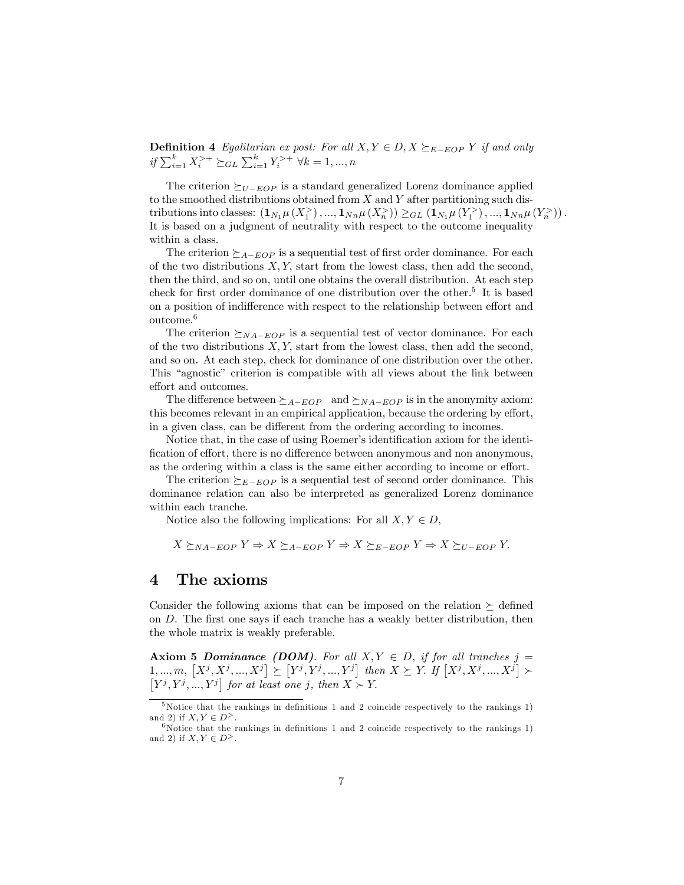**Definition 4** Egalitarian ex post: For all  $X, Y \in D, X \succeq_{E- EOP} Y$  if and only if  $\sum_{i=1}^{k} X_i^{>+} \succeq_{GL} \sum_{i=1}^{k} Y_i^{>+} \ \forall k = 1, ..., n$ 

The criterion  $\geq_{U- EOP}$  is a standard generalized Lorenz dominance applied to the smoothed distributions obtained from  $X$  and  $Y$  after partitioning such distributions into classes:  $(\mathbf{1}_{N_1}\mu(X_1^{\geq}),...,\mathbf{1}_{N_n}\mu(X_n^{\geq}))\geq_{GL}(\mathbf{1}_{N_1}\mu(Y_1^{\geq}),...,\mathbf{1}_{N_n}\mu(Y_n^{\geq}))$ . It is based on a judgment of neutrality with respect to the outcome inequality within a class.

The criterion  $\geq_{A-EOP}$  is a sequential test of first order dominance. For each of the two distributions  $X, Y$ , start from the lowest class, then add the second, then the third, and so on, until one obtains the overall distribution. At each step check for first order dominance of one distribution over the other.<sup>5</sup> It is based on a position of indifference with respect to the relationship between effort and outcome.<sup>6</sup>

The criterion  $\succeq_{NA-EOP}$  is a sequential test of vector dominance. For each of the two distributions  $X, Y$ , start from the lowest class, then add the second, and so on. At each step, check for dominance of one distribution over the other. This "agnostic" criterion is compatible with all views about the link between effort and outcomes.

The difference between  $\geq_{A-EOP}$  and  $\geq_{NA-EOP}$  is in the anonymity axiom: this becomes relevant in an empirical application, because the ordering by effort, in a given class, can be different from the ordering according to incomes.

Notice that, in the case of using Roemer's identification axiom for the identification of effort, there is no difference between anonymous and non anonymous, as the ordering within a class is the same either according to income or effort.

The criterion  $\geq_{E- EOP}$  is a sequential test of second order dominance. This dominance relation can also be interpreted as generalized Lorenz dominance within each tranche.

Notice also the following implications: For all  $X, Y \in D$ ,

$$
X \succeq_{NA-EOP} Y \Rightarrow X \succeq_{A-EOP} Y \Rightarrow X \succeq_{E-EOP} Y \Rightarrow X \succeq_{U-EOP} Y.
$$

### 4 The axioms

Consider the following axioms that can be imposed on the relation  $\succeq$  defined on  $D$ . The first one says if each tranche has a weakly better distribution, then the whole matrix is weakly preferable.

**Axiom 5 Dominance (DOM).** For all  $X, Y \in D$ , if for all tranches  $j =$  $[1, ..., m, [X^j, X^j, ..., X^j] \succeq [Y^j, Y^j, ..., Y^j]$  then  $X \succeq Y$ . If  $[X^j, X^j, ..., X^j]$  $[Y^j, Y^j, ..., Y^j]$  for at least one j, then  $X \succ Y$ .

 $5$ Notice that the rankings in definitions 1 and 2 coincide respectively to the rankings 1) and 2) if  $X, Y \in D^>$ .

<sup>&</sup>lt;sup>6</sup>Notice that the rankings in definitions 1 and 2 coincide respectively to the rankings 1) and 2) if  $X, Y \in D^>$ .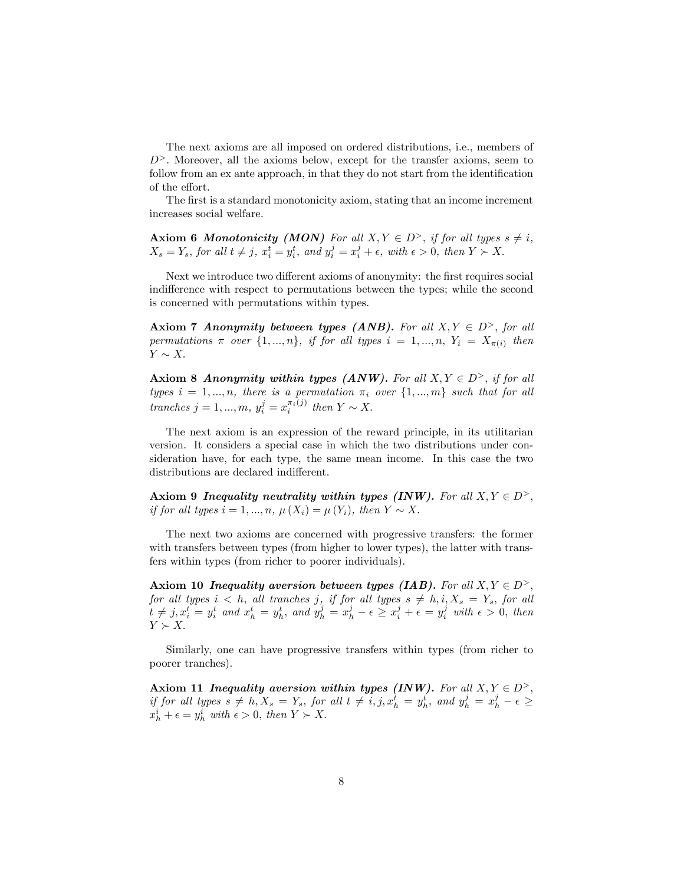The next axioms are all imposed on ordered distributions, i.e., members of  $D^>$ . Moreover, all the axioms below, except for the transfer axioms, seem to follow from an ex ante approach, in that they do not start from the identification of the effort.

The first is a standard monotonicity axiom, stating that an income increment increases social welfare.

**Axiom 6 Monotonicity (MON)** For all  $X, Y \in D^>$ , if for all types  $s \neq i$ ,  $X_s = Y_s$ , for all  $t \neq j$ ,  $x_i^t = y_i^t$ , and  $y_i^j = x_i^j + \epsilon$ , with  $\epsilon > 0$ , then  $Y \succ X$ .

Next we introduce two different axioms of anonymity: the first requires social indifference with respect to permutations between the types; while the second is concerned with permutations within types.

Axiom 7 Anonymity between types (ANB). For all  $X, Y \in D^>$ , for all permutations  $\pi$  over  $\{1, ..., n\}$ , if for all types  $i = 1, ..., n$ ,  $Y_i = X_{\pi(i)}$  then  $Y \sim X.$ 

Axiom 8 Anonymity within types (ANW). For all  $X, Y \in D^>$ , if for all types  $i = 1, ..., n$ , there is a permutation  $\pi_i$  over  $\{1, ..., m\}$  such that for all tranches  $j = 1, ..., m$ ,  $y_i^j = x_i^{\pi_i(j)}$  then  $Y \sim X$ .

The next axiom is an expression of the reward principle, in its utilitarian version. It considers a special case in which the two distributions under consideration have, for each type, the same mean income. In this case the two distributions are declared indifferent.

Axiom 9 Inequality neutrality within types (INW). For all  $X, Y \in D^>$ , if for all types  $i = 1, ..., n, \mu(X_i) = \mu(Y_i)$ , then  $Y \sim X$ .

The next two axioms are concerned with progressive transfers: the former with transfers between types (from higher to lower types), the latter with transfers within types (from richer to poorer individuals).

Axiom 10 Inequality aversion between types (IAB). For all  $X, Y \in D^>$ , for all types  $i < h$ , all tranches  $j$ , if for all types  $s \neq h$ ,  $i, X_s = Y_s$ , for all  $t \neq j$ ,  $x_i^t = y_i^t$  and  $x_h^t = y_h^t$ , and  $y_h^j = x_h^j - \epsilon \geq x_i^j + \epsilon = y_i^j$  with  $\epsilon > 0$ , then  $Y \succ X$ .

Similarly, one can have progressive transfers within types (from richer to poorer tranches).

Axiom 11 Inequality aversion within types (INW). For all  $X, Y \in D^>$ , if for all types  $s \neq h, X_s = Y_s$ , for all  $t \neq i, j, x_h^t = y_h^t$ , and  $y_h^j = x_h^j - \epsilon \geq$  $x_h^i + \epsilon = y_h^i$  with  $\epsilon > 0$ , then  $Y \succ X$ .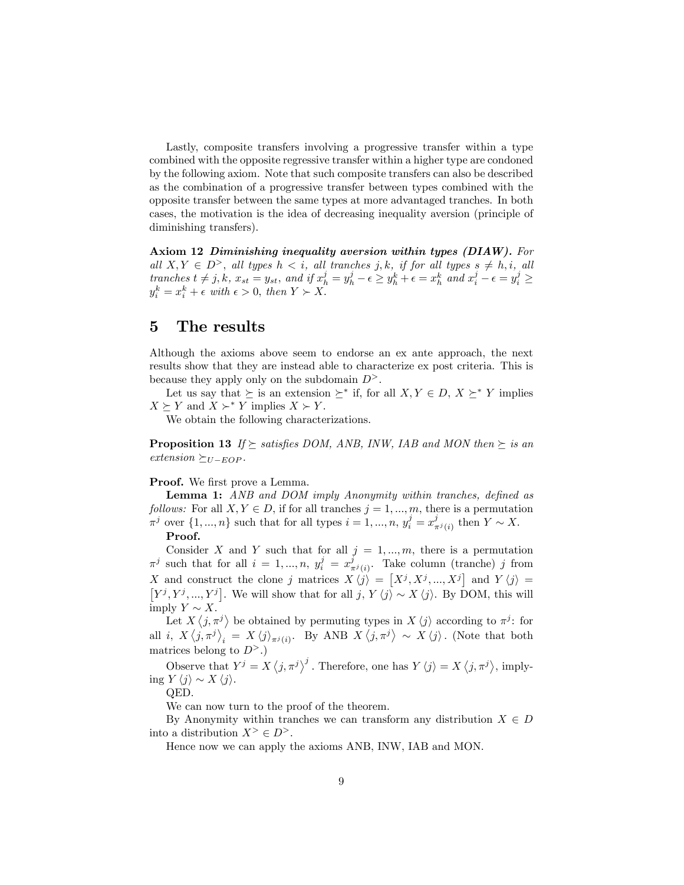Lastly, composite transfers involving a progressive transfer within a type combined with the opposite regressive transfer within a higher type are condoned by the following axiom. Note that such composite transfers can also be described as the combination of a progressive transfer between types combined with the opposite transfer between the same types at more advantaged tranches. In both cases, the motivation is the idea of decreasing inequality aversion (principle of diminishing transfers).

Axiom 12 Diminishing inequality aversion within types (DIAW). For all  $X, Y \in D^>$ , all types  $h < i$ , all tranches j, k, if for all types  $s \neq h, i$ , all tranches  $t \neq j, k$ ,  $x_{st} = y_{st}$ , and if  $x_h^j = y_h^j - \epsilon \geq y_h^k + \epsilon = x_h^k$  and  $x_i^j - \epsilon = y_i^j \geq$  $y_i^k = x_i^k + \epsilon$  with  $\epsilon > 0$ , then  $Y \succ X$ .

### 5 The results

Although the axioms above seem to endorse an ex ante approach, the next results show that they are instead able to characterize ex post criteria. This is because they apply only on the subdomain  $D^>$ .

Let us say that  $\succeq$  is an extension  $\succeq^*$  if, for all  $X, Y \in D, X \succeq^* Y$  implies  $X \succeq Y$  and  $X \succ^* Y$  implies  $X \succ Y$ .

We obtain the following characterizations.

**Proposition 13** If  $\succeq$  satisfies DOM, ANB, INW, IAB and MON then  $\succeq$  is an  $extension \succeq_{U-EOP}.$ 

#### Proof. We first prove a Lemma.

**Lemma 1:** ANB and DOM imply Anonymity within tranches, defined as follows: For all  $X, Y \in D$ , if for all tranches  $j = 1, ..., m$ , there is a permutation  $\pi^j$  over  $\{1, ..., n\}$  such that for all types  $i = 1, ..., n$ ,  $y_i^j = x_{\pi^j(i)}^j$  then  $Y \sim X$ .

#### Proof.

Consider X and Y such that for all  $j = 1, ..., m$ , there is a permutation  $\pi^j$  such that for all  $i = 1, ..., n$ ,  $y_i^j = x_{\pi^j(i)}^j$ . Take column (tranche) j from X and construct the clone j matrices  $X \langle j \rangle = [X^j, X^j, ..., X^j]$ X and construct the clone j matrices  $X \langle j \rangle = [X^j, X^j, ..., X^j]$  and  $Y \langle j \rangle = [Y^j, Y^j, ..., Y^j]$ . We will show that for all  $j, Y \langle j \rangle \sim X \langle j \rangle$ . By DOM, this will imply  $Y \sim X$ .

Let  $X\langle j,\pi^j\rangle$  be obtained by permuting types in  $X\langle j\rangle$  according to  $\pi^j$ : for all *i*,  $X \langle j, \pi^j \rangle_i = X \langle j \rangle_{\pi^j(i)}$ . By ANB  $X \langle j, \pi^j \rangle \sim X \langle j \rangle$ . (Note that both matrices belong to  $D^>$ .)

Observe that  $Y^j = X \langle j, \pi^j \rangle^j$ . Therefore, one has  $Y \langle j \rangle = X \langle j, \pi^j \rangle$ , implying  $Y \langle j \rangle \sim X \langle j \rangle$ .

QED.

We can now turn to the proof of the theorem.

By Anonymity within tranches we can transform any distribution  $X \in D$ into a distribution  $X^{\geq} \in D^{\geq}$ .

Hence now we can apply the axioms ANB, INW, IAB and MON.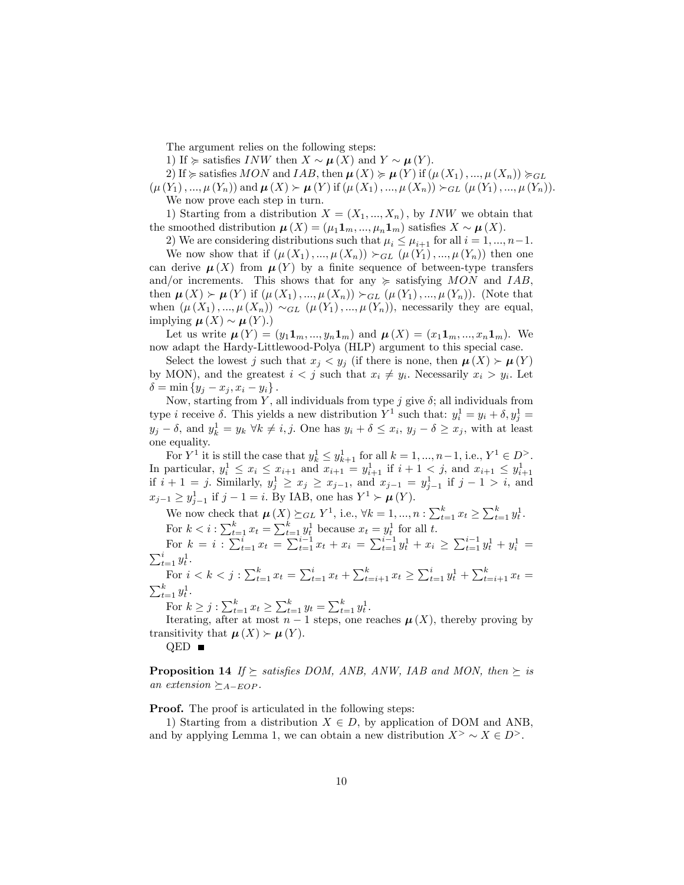The argument relies on the following steps:

1) If  $\succcurlyeq$  satisfies INW then  $X \sim \mu(X)$  and  $Y \sim \mu(Y)$ .

2) If  $\succcurlyeq$  satisfies MON and IAB, then  $\mu(X) \succcurlyeq \mu(Y)$  if  $(\mu(X_1), ..., \mu(X_n)) \succcurlyeq_{GL}$  $(\mu(Y_1), ..., \mu(Y_n))$  and  $\mu(X) > \mu(Y)$  if  $(\mu(X_1), ..., \mu(X_n)) >_{GL} (\mu(Y_1), ..., \mu(Y_n)).$ We now prove each step in turn.

1) Starting from a distribution  $X = (X_1, ..., X_n)$ , by *INW* we obtain that the smoothed distribution  $\boldsymbol{\mu}(X) = (\mu_1 \mathbf{1}_m, ..., \mu_n \mathbf{1}_m)$  satisfies  $X \sim \boldsymbol{\mu}(X)$ .

2) We are considering distributions such that  $\mu_i \leq \mu_{i+1}$  for all  $i = 1, ..., n-1$ .

We now show that if  $(\mu(X_1), ..., \mu(X_n)) >_{GL} (\mu(Y_1), ..., \mu(Y_n))$  then one can derive  $\mu(X)$  from  $\mu(Y)$  by a finite sequence of between-type transfers and/or increments. This shows that for any  $\succeq$  satisfying MON and IAB, then  $\mu(X) > \mu(Y)$  if  $(\mu(X_1), ..., \mu(X_n)) >_{GL} (\mu(Y_1), ..., \mu(Y_n))$ . (Note that when  $(\mu(X_1), ..., \mu(X_n)) \sim_{GL} (\mu(Y_1), ..., \mu(Y_n))$ , necessarily they are equal, implying  $\mu(X) \sim \mu(Y)$ .)

Let us write  $\mu(Y) = (y_1 1_m, ..., y_n 1_m)$  and  $\mu(X) = (x_1 1_m, ..., x_n 1_m)$ . We now adapt the Hardy-Littlewood-Polya (HLP) argument to this special case.

Select the lowest j such that  $x_j < y_j$  (if there is none, then  $\mu(X) > \mu(Y)$ by MON), and the greatest  $i < j$  such that  $x_i \neq y_i$ . Necessarily  $x_i > y_i$ . Let  $\delta = \min \{y_j - x_j, x_i - y_i\}.$ 

Now, starting from Y, all individuals from type  $j$  give  $\delta$ ; all individuals from type *i* receive  $\delta$ . This yields a new distribution  $Y^1$  such that:  $y_i^1 = y_i + \delta$ ,  $y_j^1 =$  $y_j - \delta$ , and  $y_k^1 = y_k \ \forall k \neq i, j$ . One has  $y_i + \delta \leq x_i$ ,  $y_j - \delta \geq x_j$ , with at least one equality.

For  $Y^1$  it is still the case that  $y_k^1 \leq y_{k+1}^1$  for all  $k = 1, ..., n-1$ , i.e.,  $Y^1 \in D^>$ . In particular,  $y_i^1 \le x_i \le x_{i+1}$  and  $x_{i+1} = y_{i+1}^1$  if  $i + 1 < j$ , and  $x_{i+1} \le y_{i+1}^1$  if  $i + 1 = j$ . Similarly,  $y_j^1 \ge x_j \ge x_{j-1}$ , and  $x_{j-1} = y_{j-1}^1$  if  $j - 1 > i$ , and  $x_{j-1} \ge y_{j-1}^1$  if  $j - 1 = i$ . By IAB, one has  $Y^1 \succ \mu(Y)$ .

We now check that  $\mu(X) \succeq_{GL} Y^1$ , i.e.,  $\forall k = 1, ..., n : \sum_{t=1}^k x_t \geq \sum_{t=1}^k y_t^1$ . For  $k < i$ :  $\sum_{t=1}^{k} x_t = \sum_{t=1}^{k} y_t^1$  because  $x_t = y_t^1$  for all t.

For  $k = i$ :  $\sum_{t=1}^{i} x_t = \sum_{t=1}^{i-1} x_t + x_i = \sum_{t=1}^{i-1} y_t^1 + x_i \ge \sum_{t=1}^{i-1} y_t^1 + y_i^1 = \sum_{t=1}^{i} y_t^1$ .  $_{t=1}^{i} y_t^1$ . t

For  $i < k < j$  :  $\sum_{t=1}^{k} x_t = \sum_{t=1}^{i} x_t + \sum_{t=i+1}^{k} x_t \ge \sum_{t=1}^{i} y_t^1 + \sum_{t=i+1}^{k} x_t =$  $\sum_{t=1}^k y_t^1$ .

For  $k \geq j : \sum_{t=1}^{k} x_t \geq \sum_{t=1}^{k} y_t = \sum_{t=1}^{k} y_t^1$ .

Iterating, after at most  $n-1$  steps, one reaches  $\mu(X)$ , thereby proving by transitivity that  $\mu(X) > \mu(Y)$ .

QED **■** 

**Proposition 14** If  $\succeq$  satisfies DOM, ANB, ANW, IAB and MON, then  $\succeq$  is an extension  $\succeq_{A-EDP}$ .

**Proof.** The proof is articulated in the following steps:

1) Starting from a distribution  $X \in D$ , by application of DOM and ANB, and by applying Lemma 1, we can obtain a new distribution  $X^> \sim X \in D^>$ .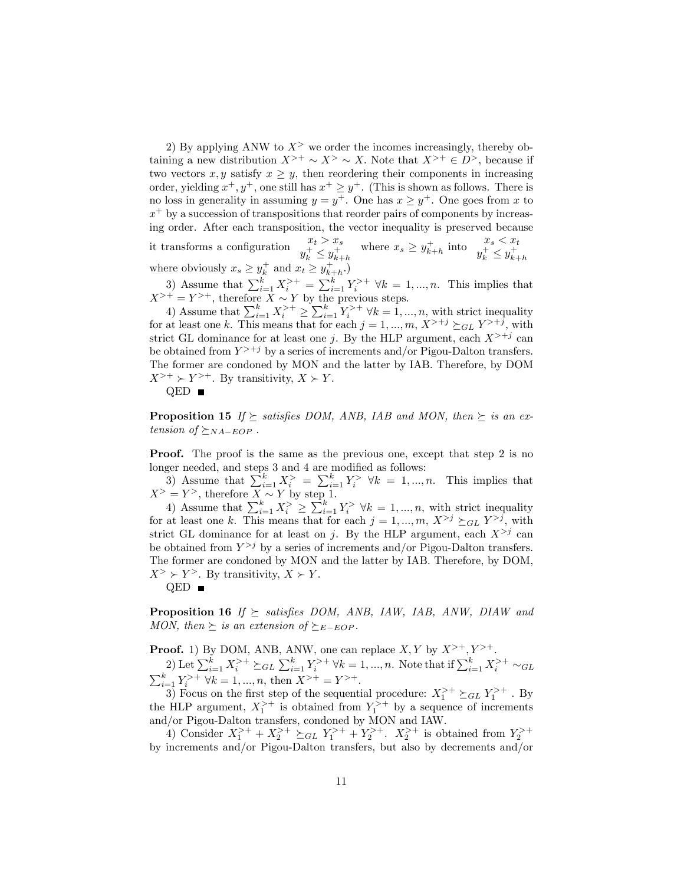2) By applying ANW to  $X^>$  we order the incomes increasingly, thereby obtaining a new distribution  $X^{+} \sim X^{+} \sim X$ . Note that  $X^{+} \in D^{+}$ , because if two vectors  $x, y$  satisfy  $x \geq y$ , then reordering their components in increasing order, yielding  $x^+, y^+,$  one still has  $x^+ \geq y^+$ . (This is shown as follows. There is no loss in generality in assuming  $y = y^+$ . One has  $x \ge y^+$ . One goes from x to  $x^{+}$  by a succession of transpositions that reorder pairs of components by increasing order. After each transposition, the vector inequality is preserved because it transforms a configuration  $\begin{array}{c} x_t > x_s \\ y_k^+ \leq y_{k+h}^+ \end{array}$  where  $x_s \geq y_{k+h}^+$  into  $\begin{array}{c} x_s < x_t \\ y_k^+ \leq y_{k+h}^+ \end{array}$ 

where obviously  $x_s \ge y_k^+$  and  $x_t \ge y_{k+h}^+$ .

3) Assume that  $\sum_{i=1}^{k} X_i^{+} = \sum_{i=1}^{k} Y_i^{+} \quad \forall k = 1, ..., n$ . This implies that  $X^{+} = Y^{+}$ , therefore  $X \sim Y$  by the previous steps.

4) Assume that  $\sum_{i=1}^{k} X_i^{>+} \geq \sum_{i=1}^{k} Y_i^{>+} \forall k = 1, ..., n$ , with strict inequality for at least one k. This means that for each  $j = 1, ..., m, X^{+j} \succeq_{GL} Y^{+j}$ , with strict GL dominance for at least one j. By the HLP argument, each  $X^{+j}$  can be obtained from  $Y^{+j}$  by a series of increments and/or Pigou-Dalton transfers. The former are condoned by MON and the latter by IAB. Therefore, by DOM  $X^{+} \rightarrow Y^{+}$ . By transitivity,  $X \rightarrow Y$ .  $QED$   $\blacksquare$ 

**Proposition 15** If  $\succeq$  satisfies DOM, ANB, IAB and MON, then  $\succeq$  is an extension of  $\succeq_{NA-EOP}$ .

**Proof.** The proof is the same as the previous one, except that step 2 is no longer needed, and steps 3 and 4 are modified as follows:

3) Assume that  $\sum_{i=1}^{k} X_i^> = \sum_{i=1}^{k} Y_i^> \forall k = 1, ..., n$ . This implies that  $X^> = Y^>$ , therefore  $X \sim Y$  by step 1.

4) Assume that  $\sum_{i=1}^{k} X_i^{\geq} \geq \sum_{i=1}^{k} Y_i^{\geq} \forall k = 1, ..., n$ , with strict inequality for at least one k. This means that for each  $j = 1, ..., m, X^{>j} \succeq_{GL} Y^{>j}$ , with strict GL dominance for at least on j. By the HLP argument, each  $X^{>j}$  can be obtained from  $Y^{>j}$  by a series of increments and/or Pigou-Dalton transfers. The former are condoned by MON and the latter by IAB. Therefore, by DOM,  $X^> \geq Y^>$ . By transitivity,  $X \geq Y$ .

 $QED$   $\blacksquare$ 

**Proposition 16** If  $\succeq$  satisfies DOM, ANB, IAW, IAB, ANW, DIAW and MON, then  $\succeq$  is an extension of  $\succeq_{E- EOP}$ .

**Proof.** 1) By DOM, ANB, ANW, one can replace  $X, Y$  by  $X^{+}, Y^{+}$ .

2) Let  $\sum_{i=1}^{k} X_i^{+} \succeq_{GL} \sum_{i=1}^{k} Y_i^{+} \forall k = 1, ..., n$ . Note that if  $\sum_{i=1}^{k} X_i^{+}$  $\sum$ 2) Let  $\sum_{i=1}^k X_i^2 \geq GL \sum_{i=1}^k Y_i^2 \geq \Re k = 1, ..., n$ . Note that if  $\sum_{i=1}^k X_i^2 \geq \Re L$ <br>  $\sum_{i=1}^k Y_i^{>+} \forall k = 1, ..., n$ , then  $X^{>+} = Y^{>+}$ .

3) Focus on the first step of the sequential procedure:  $X_1^{+} \succeq_{GL} Y_1^{+}$ . By the HLP argument,  $X_1^{+}$  is obtained from  $Y_1^{+}$  by a sequence of increments and/or Pigou-Dalton transfers, condoned by MON and IAW.

4) Consider  $X_1^{+} + X_2^{+} \geq_{GL} Y_1^{+} + Y_2^{+}$ .  $X_2^{+}$  is obtained from  $Y_2^{+}$ . by increments and/or Pigou-Dalton transfers, but also by decrements and/or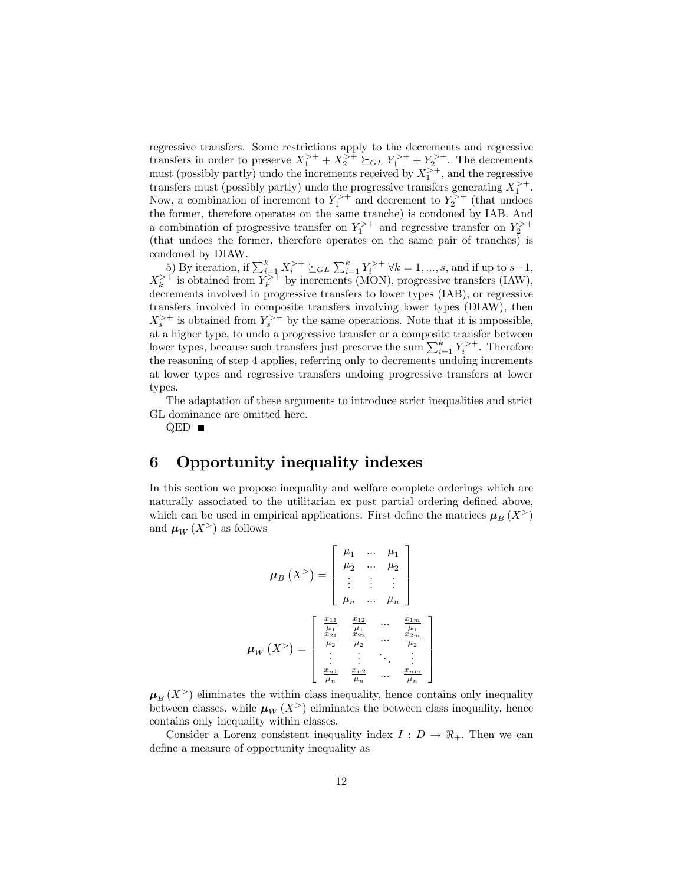regressive transfers. Some restrictions apply to the decrements and regressive transfers in order to preserve  $X_1^{+} + X_2^{+} \succeq_{GL} Y_1^{+} + Y_2^{+}$ . The decrements must (possibly partly) undo the increments received by  $X_1^{>+}$ , and the regressive transfers must (possibly partly) undo the progressive transfers generating  $X_1^{++}$ . Gausters must (possibly partly) undo the progressive transfers generating  $\lambda_1$ .<br>Now, a combination of increment to  $Y_1^{>+}$  and decrement to  $Y_2^{>+}$  (that undoes the former, therefore operates on the same tranche) is condoned by IAB. And a combination of progressive transfer on  $Y_1^{+}$  and regressive transfer on  $Y_2^{+}$ (that undoes the former, therefore operates on the same pair of tranches) is condoned by DIAW.

5) By iteration, if  $\sum_{i=1}^{k} X_i^{+} \succeq_{GL} \sum_{i=1}^{k} Y_i^{+} \forall k = 1, ..., s$ , and if up to  $s-1$ ,  $X_k^{+}$  is obtained from  $Y_k^{+}$  by increments (MON), progressive transfers (IAW), decrements involved in progressive transfers to lower types (IAB), or regressive transfers involved in composite transfers involving lower types (DIAW), then  $X_s^{+}$  is obtained from  $Y_s^{+}$  by the same operations. Note that it is impossible, at a higher type, to undo a progressive transfer or a composite transfer between lower types, because such transfers just preserve the sum  $\sum_{i=1}^{k} Y_i^{+}$ . Therefore the reasoning of step 4 applies, referring only to decrements undoing increments at lower types and regressive transfers undoing progressive transfers at lower types.

The adaptation of these arguments to introduce strict inequalities and strict GL dominance are omitted here.

QED ■

### 6 Opportunity inequality indexes

In this section we propose inequality and welfare complete orderings which are naturally associated to the utilitarian ex post partial ordering defined above, which can be used in empirical applications. First define the matrices  $\mu_B(X^>)$ and  $\mu_W(X^>)$  as follows

$$
\mu_B(X^>) = \begin{bmatrix} \mu_1 & \dots & \mu_1 \\ \mu_2 & \dots & \mu_2 \\ \vdots & \vdots & \vdots \\ \mu_n & \dots & \mu_n \end{bmatrix}
$$

$$
\mu_W(X^>) = \begin{bmatrix} \frac{x_{11}}{\mu_1} & \frac{x_{12}}{\mu_1} & \dots & \frac{x_{1m}}{\mu_1} \\ \frac{x_{21}}{\mu_2} & \frac{x_{22}}{\mu_2} & \dots & \frac{x_{2m}}{\mu_2} \\ \vdots & \vdots & \ddots & \vdots \\ \frac{x_{n1}}{\mu_n} & \frac{x_{n2}}{\mu_n} & \dots & \frac{x_{nm}}{\mu_n} \end{bmatrix}
$$

3  $\mathbf{1}$  $\overline{1}$  $\overline{1}$  $\overline{1}$  $\overline{1}$ 

 $\mu_B(X^>)$  eliminates the within class inequality, hence contains only inequality between classes, while  $\mu_W(X^>)$  eliminates the between class inequality, hence contains only inequality within classes.

Consider a Lorenz consistent inequality index  $I: D \to \mathbb{R}_+$ . Then we can define a measure of opportunity inequality as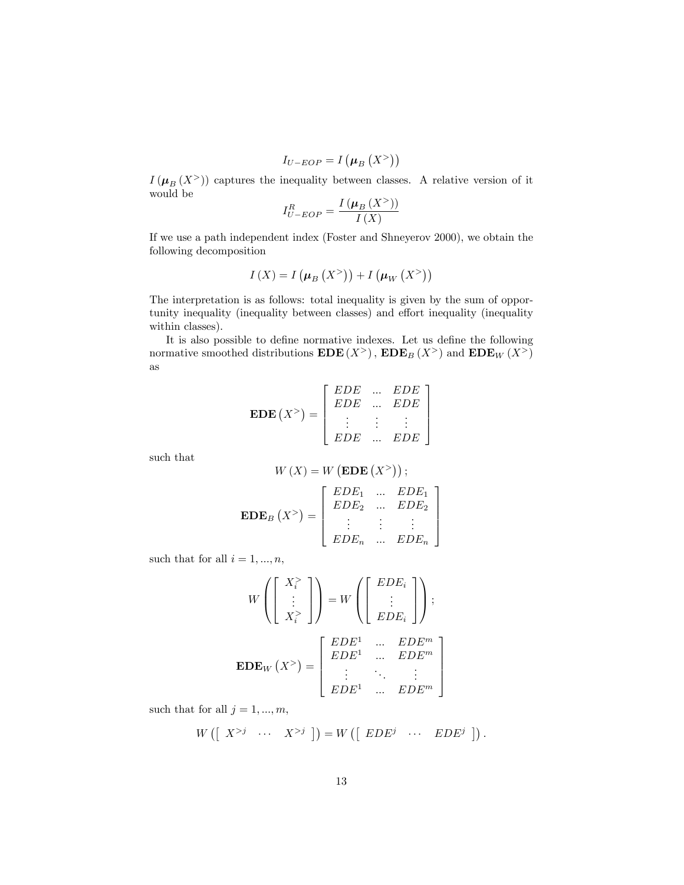$$
I_{U-EOP}=I\left(\mu_{B}\left(\mathcal{X}^{>}\right)\right)
$$

 $I(\mu_B(X^>))$  captures the inequality between classes. A relative version of it would be

$$
I_{U-EOP}^{R} = \frac{I(\mu_B(X^>) )}{I(X)}
$$

If we use a path independent index (Foster and Shneyerov 2000), we obtain the following decomposition

$$
I(X) = I\left(\mu_B(X^>)\right) + I\left(\mu_W(X^>)\right)
$$

The interpretation is as follows: total inequality is given by the sum of opportunity inequality (inequality between classes) and effort inequality (inequality within classes).

It is also possible to define normative indexes. Let us define the following normative smoothed distributions  $EDE(X^>)$ ,  $EDE_B(X^>)$  and  $EDE_W(X^>)$ as

$$
\mathbf{EDE}\left(X^>\right) = \left[\begin{array}{ccc} EDE & \dots & EDE \\ EDE & \dots & EDE \\ \vdots & \vdots & \vdots \\ EDE & \dots & EDE \end{array}\right]
$$

such that

$$
W(X) = W(\mathbf{EDE}(X^>));
$$

$$
\mathbf{EDE}_B(X^>) = \begin{bmatrix} EDE_1 & \dots & EDE_1 \\ EDE_2 & \dots & EDE_2 \\ \vdots & \vdots & \vdots \end{bmatrix}
$$

 $EDE_n$  ...  $EDE_n$ 

3  $\overline{1}$  $\overline{1}$  $\overline{1}$  $\overline{1}$ 

such that for all  $i = 1, ..., n$ ,

$$
W\left(\left[\begin{array}{c} X_i^> \\ \vdots \\ X_i^> \end{array}\right]\right) = W\left(\left[\begin{array}{c} EDE_i \\ \vdots \\ EDE_i \end{array}\right]\right);
$$

$$
\mathbf{EDE}_W(X^>) = \left[\begin{array}{cccc} EDE^1 & \dots & EDE^m \\ EDE^1 & \dots & EDE^m \\ \vdots & \ddots & \vdots \\ EDE^1 & \dots & EDE^m \end{array}\right]
$$

such that for all  $j = 1, ..., m$ ,

$$
W\left(\left[\begin{array}{ccc}X^{>j}&\cdots&X^{>j}\end{array}\right]\right)=W\left(\left[\begin{array}{ccc} EDE^j&\cdots& EDE^j\end{array}\right]\right).
$$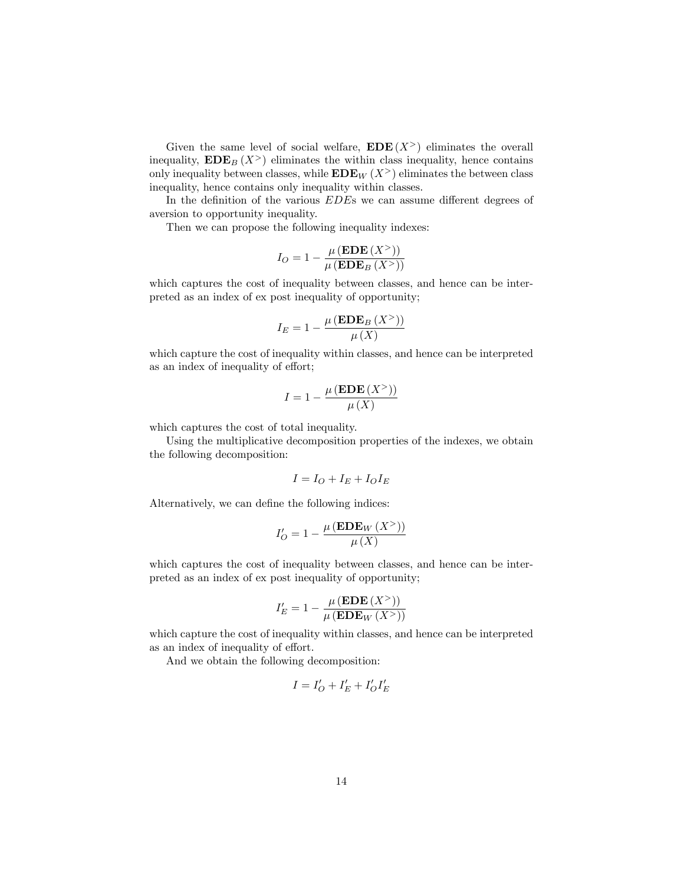Given the same level of social welfare,  $EDE(X^>)$  eliminates the overall inequality,  $\mathbf{EDE}_B(X^>)$  eliminates the within class inequality, hence contains only inequality between classes, while  $EDE_W(X^>)$  eliminates the between class inequality, hence contains only inequality within classes.

In the definition of the various  $EDE$ s we can assume different degrees of aversion to opportunity inequality.

Then we can propose the following inequality indexes:

$$
I_O = 1 - \frac{\mu(\mathbf{EDE}(X^>) )}{\mu(\mathbf{EDE}_B(X^>) )}
$$

which captures the cost of inequality between classes, and hence can be interpreted as an index of ex post inequality of opportunity;

$$
I_E = 1 - \frac{\mu(\mathbf{EDE}_B(X^>) )}{\mu(X)}
$$

which capture the cost of inequality within classes, and hence can be interpreted as an index of inequality of effort;

$$
I = 1 - \frac{\mu(\mathbf{EDE}(X^>) )}{\mu(X)}
$$

which captures the cost of total inequality.

Using the multiplicative decomposition properties of the indexes, we obtain the following decomposition:

$$
I = I_O + I_E + I_O I_E
$$

Alternatively, we can define the following indices:

$$
I'_O = 1 - \frac{\mu(\mathbf{EDE}_W(X^>) )}{\mu(X)}
$$

which captures the cost of inequality between classes, and hence can be interpreted as an index of ex post inequality of opportunity;

$$
I_E' = 1 - \frac{\mu(\mathbf{EDE}(X^>) )}{\mu(\mathbf{EDE}_W(X^>) )}
$$

which capture the cost of inequality within classes, and hence can be interpreted as an index of inequality of effort.

And we obtain the following decomposition:

$$
I = I'_O + I'_E + I'_O I'_E
$$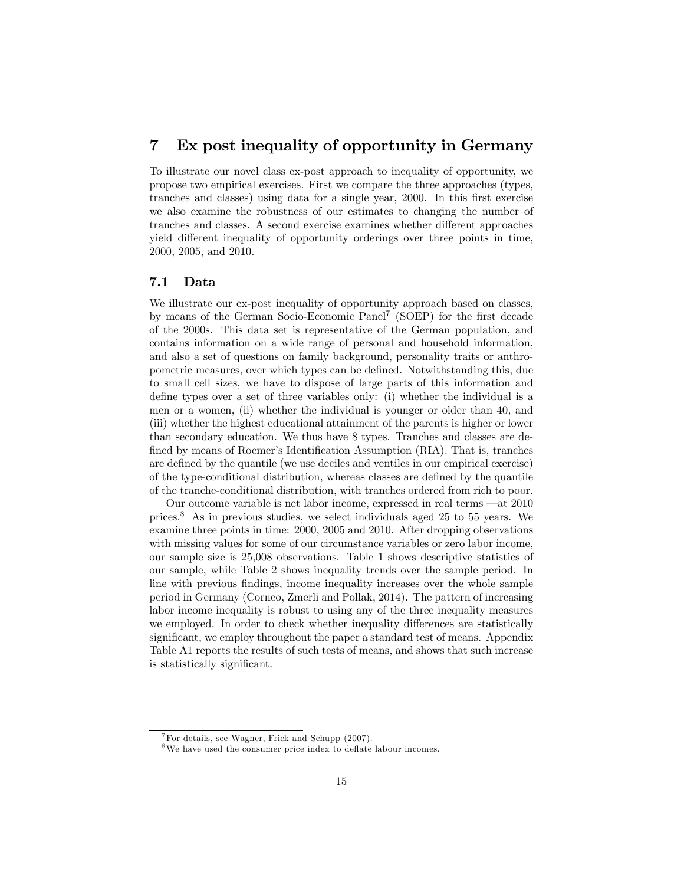## 7 Ex post inequality of opportunity in Germany

To illustrate our novel class ex-post approach to inequality of opportunity, we propose two empirical exercises. First we compare the three approaches (types, tranches and classes) using data for a single year, 2000. In this first exercise we also examine the robustness of our estimates to changing the number of tranches and classes. A second exercise examines whether different approaches yield different inequality of opportunity orderings over three points in time, 2000, 2005, and 2010.

#### 7.1 Data

We illustrate our ex-post inequality of opportunity approach based on classes, by means of the German Socio-Economic Panel<sup>7</sup> (SOEP) for the first decade of the 2000s. This data set is representative of the German population, and contains information on a wide range of personal and household information, and also a set of questions on family background, personality traits or anthropometric measures, over which types can be defined. Notwithstanding this, due to small cell sizes, we have to dispose of large parts of this information and define types over a set of three variables only: (i) whether the individual is a men or a women, (ii) whether the individual is younger or older than 40, and (iii) whether the highest educational attainment of the parents is higher or lower than secondary education. We thus have 8 types. Tranches and classes are defined by means of Roemer's Identification Assumption (RIA). That is, tranches are defined by the quantile (we use deciles and ventiles in our empirical exercise) of the type-conditional distribution, whereas classes are defined by the quantile of the tranche-conditional distribution, with tranches ordered from rich to poor.

Our outcome variable is net labor income, expressed in real terms  $-\text{at } 2010$ prices.<sup>8</sup> As in previous studies, we select individuals aged 25 to 55 years. We examine three points in time: 2000, 2005 and 2010. After dropping observations with missing values for some of our circumstance variables or zero labor income, our sample size is 25,008 observations. Table 1 shows descriptive statistics of our sample, while Table 2 shows inequality trends over the sample period. In line with previous findings, income inequality increases over the whole sample period in Germany (Corneo, Zmerli and Pollak, 2014). The pattern of increasing labor income inequality is robust to using any of the three inequality measures we employed. In order to check whether inequality differences are statistically significant, we employ throughout the paper a standard test of means. Appendix Table A1 reports the results of such tests of means, and shows that such increase is statistically significant.

 $7$ For details, see Wagner, Frick and Schupp (2007).

 $8$ We have used the consumer price index to deflate labour incomes.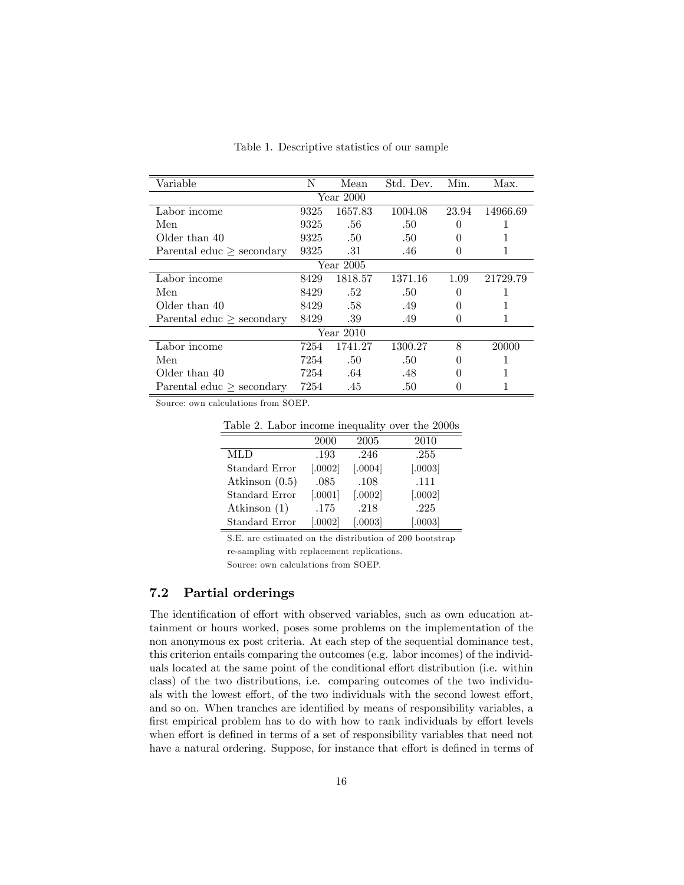| Variable                    | N    | Mean        | Std. Dev. | Min.     | Max.     |  |  |  |  |  |
|-----------------------------|------|-------------|-----------|----------|----------|--|--|--|--|--|
| Year 2000                   |      |             |           |          |          |  |  |  |  |  |
| Labor income                | 9325 | 1657.83     | 1004.08   | 23.94    | 14966.69 |  |  |  |  |  |
| Men                         | 9325 | .56         | .50       |          |          |  |  |  |  |  |
| Older than 40               | 9325 | .50         | .50       | $\theta$ |          |  |  |  |  |  |
| Parental educ $>$ secondary | 9325 | .31         | .46       | $\theta$ |          |  |  |  |  |  |
| Year 2005                   |      |             |           |          |          |  |  |  |  |  |
| Labor income                | 8429 | 1818.57     | 1371.16   | 1.09     | 21729.79 |  |  |  |  |  |
| Men                         | 8429 | .52         | .50       | $\theta$ |          |  |  |  |  |  |
| Older than 40               | 8429 | .58         | .49       | $\theta$ |          |  |  |  |  |  |
| Parental educ $>$ secondary | 8429 | .39         | .49       |          |          |  |  |  |  |  |
|                             |      | Year $2010$ |           |          |          |  |  |  |  |  |
| Labor income                | 7254 | 1741.27     | 1300.27   | 8        | 20000    |  |  |  |  |  |
| Men                         | 7254 | .50         | .50       | $\theta$ |          |  |  |  |  |  |
| Older than 40               | 7254 | .64         | .48       |          |          |  |  |  |  |  |
| Parental educ $>$ secondary | 7254 | .45         | .50       | 0        |          |  |  |  |  |  |

Table 1. Descriptive statistics of our sample

Source: own calculations from SOEP.

Table 2. Labor income inequality over the 2000s

|                  | 2000      | 2005      | 2010      |
|------------------|-----------|-----------|-----------|
| <b>MLD</b>       | .193      | .246      | .255      |
| Standard Error   | $[.0002]$ | $[.0004]$ | [.0003]   |
| Atkinson $(0.5)$ | .085      | .108      | .111      |
| Standard Error   | [.0001]   | [.0002]   | $[.0002]$ |
| Atkinson $(1)$   | .175      | .218      | .225      |
| Standard Error   | [.0002]   | 0.0003    | 0.0003    |

S.E. are estimated on the distribution of 200 bootstrap re-sampling with replacement replications.

Source: own calculations from SOEP.

#### 7.2 Partial orderings

The identification of effort with observed variables, such as own education attainment or hours worked, poses some problems on the implementation of the non anonymous ex post criteria. At each step of the sequential dominance test, this criterion entails comparing the outcomes (e.g. labor incomes) of the individuals located at the same point of the conditional effort distribution (i.e. within class) of the two distributions, i.e. comparing outcomes of the two individuals with the lowest effort, of the two individuals with the second lowest effort, and so on. When tranches are identified by means of responsibility variables, a first empirical problem has to do with how to rank individuals by effort levels when effort is defined in terms of a set of responsibility variables that need not have a natural ordering. Suppose, for instance that effort is defined in terms of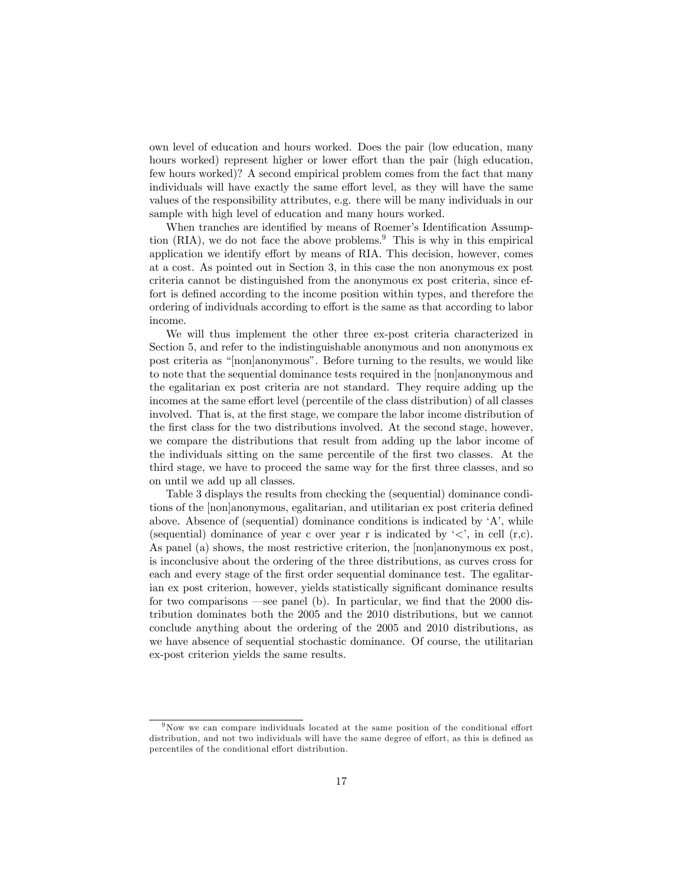own level of education and hours worked. Does the pair (low education, many hours worked) represent higher or lower effort than the pair (high education, few hours worked)? A second empirical problem comes from the fact that many individuals will have exactly the same effort level, as they will have the same values of the responsibility attributes, e.g. there will be many individuals in our sample with high level of education and many hours worked.

When tranches are identified by means of Roemer's Identification Assumption  $(RIA)$ , we do not face the above problems.<sup>9</sup> This is why in this empirical application we identify effort by means of RIA. This decision, however, comes at a cost. As pointed out in Section 3, in this case the non anonymous ex post criteria cannot be distinguished from the anonymous ex post criteria, since effort is defined according to the income position within types, and therefore the ordering of individuals according to effort is the same as that according to labor income.

We will thus implement the other three ex-post criteria characterized in Section 5, and refer to the indistinguishable anonymous and non anonymous ex post criteria as "[non]anonymous". Before turning to the results, we would like to note that the sequential dominance tests required in the [non]anonymous and the egalitarian ex post criteria are not standard. They require adding up the incomes at the same effort level (percentile of the class distribution) of all classes involved. That is, at the first stage, we compare the labor income distribution of the first class for the two distributions involved. At the second stage, however, we compare the distributions that result from adding up the labor income of the individuals sitting on the same percentile of the first two classes. At the third stage, we have to proceed the same way for the first three classes, and so on until we add up all classes.

Table 3 displays the results from checking the (sequential) dominance conditions of the [non]anonymous, egalitarian, and utilitarian ex post criteria defined above. Absence of (sequential) dominance conditions is indicated by  $A'$ , while (sequential) dominance of year c over year r is indicated by  $\langle \langle \cdot \rangle$ , in cell (r,c). As panel (a) shows, the most restrictive criterion, the [non]anonymous ex post, is inconclusive about the ordering of the three distributions, as curves cross for each and every stage of the first order sequential dominance test. The egalitarian ex post criterion, however, yields statistically significant dominance results for two comparisons  $\equiv$  see panel (b). In particular, we find that the 2000 distribution dominates both the 2005 and the 2010 distributions, but we cannot conclude anything about the ordering of the 2005 and 2010 distributions, as we have absence of sequential stochastic dominance. Of course, the utilitarian ex-post criterion yields the same results.

 $9$ Now we can compare individuals located at the same position of the conditional effort distribution, and not two individuals will have the same degree of effort, as this is defined as percentiles of the conditional effort distribution.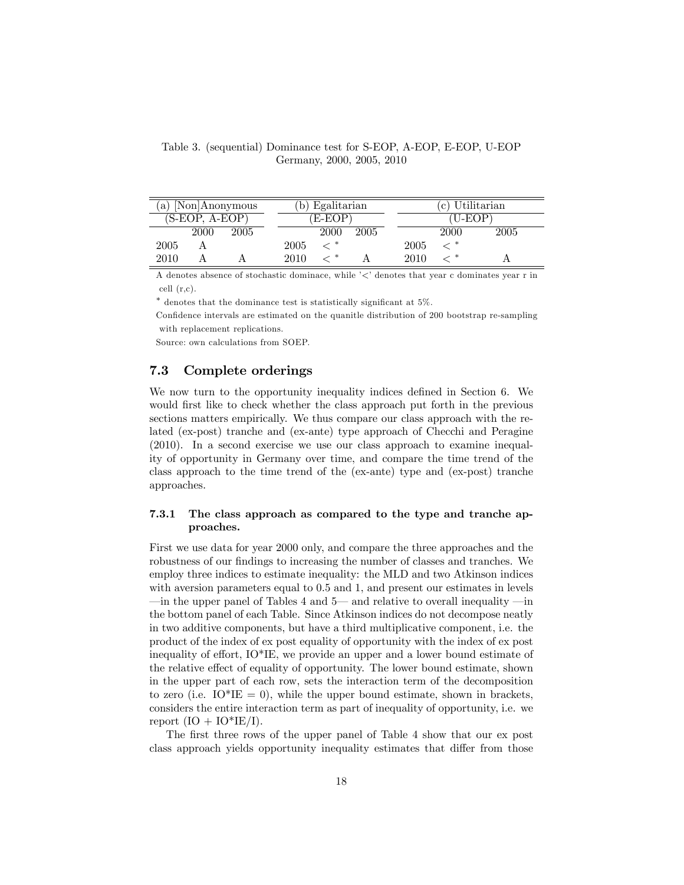| a)   |                | [Non]Anonymous |      | Egalitarian |      |      | (c) Utilitarian |      |  |
|------|----------------|----------------|------|-------------|------|------|-----------------|------|--|
|      | (S-EOP, A-EOP) |                |      | 'E-EOP)     |      |      | (U-EOP          |      |  |
|      | 2000           | 2005           |      | 2000        | 2005 |      | 2000            | 2005 |  |
| 2005 |                |                | 2005 |             |      | 2005 |                 |      |  |
| 2010 |                |                | 2010 |             |      | 2010 |                 |      |  |

Table 3. (sequential) Dominance test for S-EOP, A-EOP, E-EOP, U-EOP Germany, 2000, 2005, 2010

A denotes absence of stochastic dominace, while  $\leq$  denotes that year c dominates year r in cell (r,c).

 $*$  denotes that the dominance test is statistically significant at  $5\%$ .

Confidence intervals are estimated on the quanitle distribution of 200 bootstrap re-sampling with replacement replications.

Source: own calculations from SOEP.

#### 7.3 Complete orderings

We now turn to the opportunity inequality indices defined in Section 6. We would first like to check whether the class approach put forth in the previous sections matters empirically. We thus compare our class approach with the related (ex-post) tranche and (ex-ante) type approach of Checchi and Peragine (2010). In a second exercise we use our class approach to examine inequality of opportunity in Germany over time, and compare the time trend of the class approach to the time trend of the (ex-ante) type and (ex-post) tranche approaches.

#### 7.3.1 The class approach as compared to the type and tranche approaches.

First we use data for year 2000 only, and compare the three approaches and the robustness of our findings to increasing the number of classes and tranches. We employ three indices to estimate inequality: the MLD and two Atkinson indices with aversion parameters equal to 0.5 and 1, and present our estimates in levels  $\pm$ in the upper panel of Tables 4 and 5— and relative to overall inequality  $\pm$  in the bottom panel of each Table. Since Atkinson indices do not decompose neatly in two additive components, but have a third multiplicative component, i.e. the product of the index of ex post equality of opportunity with the index of ex post inequality of effort,  $IQ^*IE$ , we provide an upper and a lower bound estimate of the relative effect of equality of opportunity. The lower bound estimate, shown in the upper part of each row, sets the interaction term of the decomposition to zero (i.e.  $IO*IE = 0$ ), while the upper bound estimate, shown in brackets, considers the entire interaction term as part of inequality of opportunity, i.e. we report  $(IO + IO^*IE/I)$ .

The first three rows of the upper panel of Table 4 show that our ex post class approach yields opportunity inequality estimates that differ from those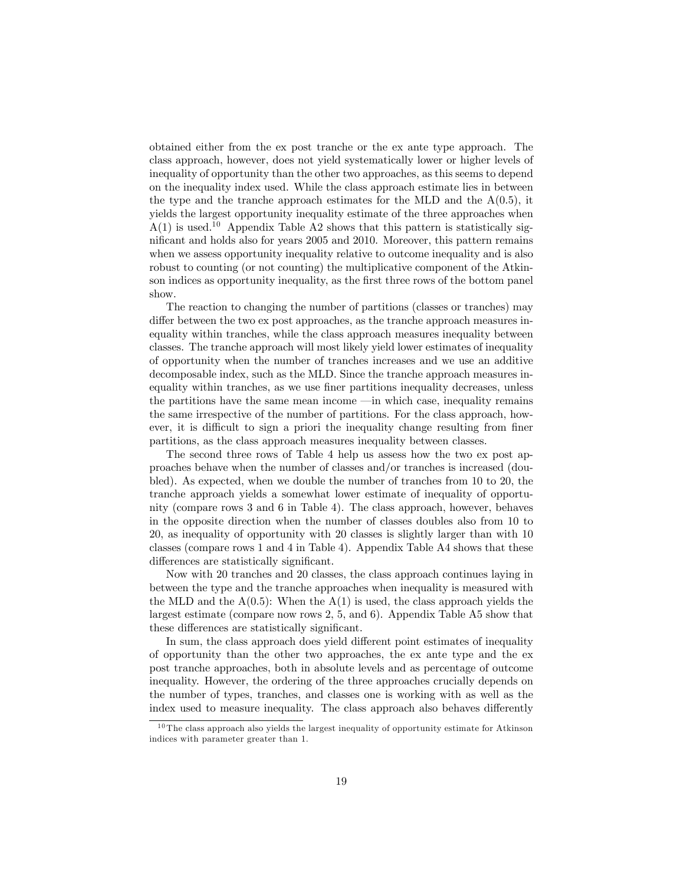obtained either from the ex post tranche or the ex ante type approach. The class approach, however, does not yield systematically lower or higher levels of inequality of opportunity than the other two approaches, as this seems to depend on the inequality index used. While the class approach estimate lies in between the type and the tranche approach estimates for the MLD and the  $A(0.5)$ , it yields the largest opportunity inequality estimate of the three approaches when  $A(1)$  is used.<sup>10</sup> Appendix Table A2 shows that this pattern is statistically significant and holds also for years 2005 and 2010. Moreover, this pattern remains when we assess opportunity inequality relative to outcome inequality and is also robust to counting (or not counting) the multiplicative component of the Atkinson indices as opportunity inequality, as the first three rows of the bottom panel show.

The reaction to changing the number of partitions (classes or tranches) may differ between the two ex post approaches, as the tranche approach measures inequality within tranches, while the class approach measures inequality between classes. The tranche approach will most likely yield lower estimates of inequality of opportunity when the number of tranches increases and we use an additive decomposable index, such as the MLD. Since the tranche approach measures inequality within tranches, as we use finer partitions inequality decreases, unless the partitions have the same mean income  $\equiv$  in which case, inequality remains the same irrespective of the number of partitions. For the class approach, however, it is difficult to sign a priori the inequality change resulting from finer partitions, as the class approach measures inequality between classes.

The second three rows of Table 4 help us assess how the two ex post approaches behave when the number of classes and/or tranches is increased (doubled). As expected, when we double the number of tranches from 10 to 20, the tranche approach yields a somewhat lower estimate of inequality of opportunity (compare rows 3 and 6 in Table 4). The class approach, however, behaves in the opposite direction when the number of classes doubles also from 10 to 20, as inequality of opportunity with 20 classes is slightly larger than with 10 classes (compare rows 1 and 4 in Table 4). Appendix Table A4 shows that these differences are statistically significant.

Now with 20 tranches and 20 classes, the class approach continues laying in between the type and the tranche approaches when inequality is measured with the MLD and the  $A(0.5)$ : When the  $A(1)$  is used, the class approach yields the largest estimate (compare now rows 2, 5, and 6). Appendix Table A5 show that these differences are statistically significant.

In sum, the class approach does yield different point estimates of inequality of opportunity than the other two approaches, the ex ante type and the ex post tranche approaches, both in absolute levels and as percentage of outcome inequality. However, the ordering of the three approaches crucially depends on the number of types, tranches, and classes one is working with as well as the index used to measure inequality. The class approach also behaves differently

 $10$  The class approach also yields the largest inequality of opportunity estimate for Atkinson indices with parameter greater than 1.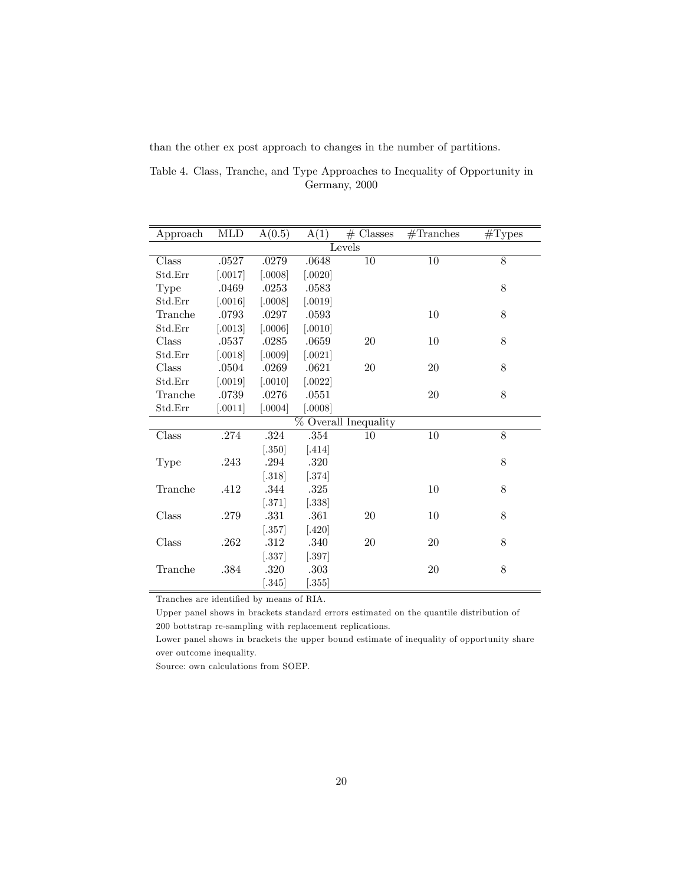than the other ex post approach to changes in the number of partitions.

Table 4. Class, Tranche, and Type Approaches to Inequality of Opportunity in Germany, 2000

| Approach | MLD       | A(0.5)               | A(1)      | $#$ Classes          | $#$ Tranches | $\#\text{Types}$ |
|----------|-----------|----------------------|-----------|----------------------|--------------|------------------|
|          |           |                      |           | Levels               |              |                  |
| Class    | .0527     | .0279                | .0648     | $\overline{10}$      | 10           | 8                |
| Std.Err  | [.0017]   | 0.0008               | $[.0020]$ |                      |              |                  |
| Type     | .0469     | .0253                | .0583     |                      |              | 8                |
| Std.Err  | [.0016]   | [.0008]              | [.0019]   |                      |              |                  |
| Tranche  | .0793     | .0297                | .0593     |                      | 10           | 8                |
| Std.Err  | 0013      | [.0006]              | $[.0010]$ |                      |              |                  |
| Class    | .0537     | .0285                | .0659     | 20                   | 10           | 8                |
| Std.Err  | [.0018]   | [.0009]              | $[.0021]$ |                      |              |                  |
| Class    | .0504     | .0269                | .0621     | 20                   | 20           | 8                |
| Std.Err  | [.0019]   | [.0010]              | $[.0022]$ |                      |              |                  |
| Tranche  | .0739     | .0276                | .0551     |                      | 20           | 8                |
| Std.Err  | $[.0011]$ | [.0004]              | [.0008]   |                      |              |                  |
|          |           |                      |           | % Overall Inequality |              |                  |
| Class    | .274      | $.324\,$             | .354      | 10                   | 10           | 8                |
|          |           | $[.350]$             | $[.414]$  |                      |              |                  |
| Type     | $.243\,$  | .294                 | .320      |                      |              | 8                |
|          |           | $[.318]$             | $[.374]$  |                      |              |                  |
| Tranche  | .412      | .344                 | .325      |                      | 10           | 8                |
|          |           | $[.371]$             | $[.338]$  |                      |              |                  |
| Class    | .279      | .331                 | .361      | $20\,$               | 10           | 8                |
|          |           | $[.357]$             | $[.420]$  |                      |              |                  |
| Class    | .262      | $.312\,$             | .340      | 20                   | 20           | 8                |
|          |           | $\left[ .337\right]$ | [.397]    |                      |              |                  |
| Tranche  | .384      | .320                 | .303      |                      | 20           | 8                |
|          |           | $\left[ .345\right]$ | $[.355]$  |                      |              |                  |

Tranches are identified by means of RIA.

Upper panel shows in brackets standard errors estimated on the quantile distribution of  $200$  bottstrap re-sampling with replacement replications.

Lower panel shows in brackets the upper bound estimate of inequality of opportunity share over outcome inequality.

Source: own calculations from SOEP.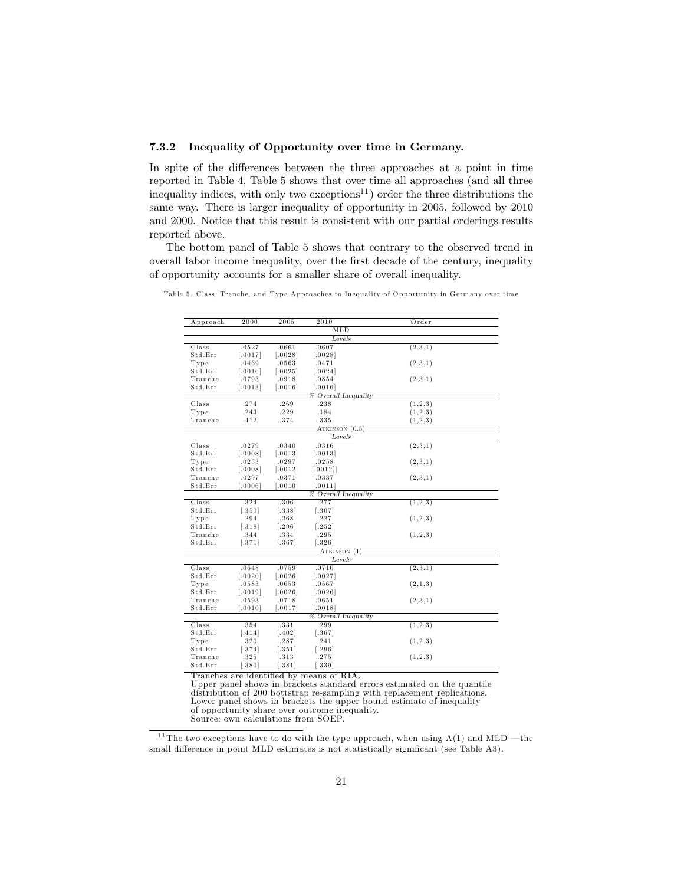#### 7.3.2 Inequality of Opportunity over time in Germany.

In spite of the differences between the three approaches at a point in time reported in Table 4, Table 5 shows that over time all approaches (and all three inequality indices, with only two exceptions<sup>11</sup>) order the three distributions the same way. There is larger inequality of opportunity in 2005, followed by 2010 and 2000. Notice that this result is consistent with our partial orderings results reported above.

The bottom panel of Table 5 shows that contrary to the observed trend in overall labor income inequality, over the first decade of the century, inequality of opportunity accounts for a smaller share of overall inequality.

| Approach                                                                                           | 2000                                                                                             | 2005                                                                                       | 2010                                                                                                                     | Order                                               |
|----------------------------------------------------------------------------------------------------|--------------------------------------------------------------------------------------------------|--------------------------------------------------------------------------------------------|--------------------------------------------------------------------------------------------------------------------------|-----------------------------------------------------|
|                                                                                                    |                                                                                                  |                                                                                            |                                                                                                                          |                                                     |
|                                                                                                    |                                                                                                  |                                                                                            | MLD                                                                                                                      |                                                     |
|                                                                                                    |                                                                                                  |                                                                                            | Levels                                                                                                                   |                                                     |
| Class                                                                                              | .0527                                                                                            | .0661                                                                                      | .0607                                                                                                                    | (2,3,1)                                             |
| Std.Err                                                                                            | [.0017]                                                                                          | [.0028]                                                                                    | [.0028]                                                                                                                  |                                                     |
| Type                                                                                               | .0469                                                                                            | .0563                                                                                      | .0471                                                                                                                    | (2,3,1)                                             |
| Std.Err                                                                                            | [.0016]                                                                                          | [.0025]                                                                                    | [.0024]                                                                                                                  |                                                     |
| Tranche                                                                                            | .0793                                                                                            | .0918                                                                                      | .0854                                                                                                                    | (2,3,1)                                             |
| Std.Err                                                                                            | [.0013]                                                                                          | [.0016]                                                                                    | [.0016]                                                                                                                  |                                                     |
|                                                                                                    |                                                                                                  |                                                                                            | % Overall Inequality                                                                                                     |                                                     |
| Class                                                                                              | .274                                                                                             | .269                                                                                       | .238                                                                                                                     | (1,2,3)                                             |
| Type                                                                                               | .243                                                                                             | .229                                                                                       | .184                                                                                                                     | (1, 2, 3)                                           |
| Tranche                                                                                            | .412                                                                                             | .374                                                                                       | .335                                                                                                                     | (1,2,3)                                             |
|                                                                                                    |                                                                                                  |                                                                                            | ATKINSON $(0.5)$                                                                                                         |                                                     |
|                                                                                                    |                                                                                                  |                                                                                            | Levels                                                                                                                   |                                                     |
| Class                                                                                              | .0279                                                                                            | .0340                                                                                      | .0316                                                                                                                    | (2,3,1)                                             |
| Std.Err                                                                                            | [.0008]                                                                                          | [.0013]                                                                                    | [.0013]                                                                                                                  |                                                     |
| Type                                                                                               | .0253                                                                                            | .0297                                                                                      | .0258                                                                                                                    | (2,3,1)                                             |
| Std.Err                                                                                            | [.0008]                                                                                          | [.0012]                                                                                    | [.0012]                                                                                                                  |                                                     |
| Tranche                                                                                            | .0297                                                                                            | .0371                                                                                      | .0337                                                                                                                    | (2,3,1)                                             |
| Std.Err                                                                                            | [.0006]                                                                                          | [.0010]                                                                                    | [.0011]                                                                                                                  |                                                     |
|                                                                                                    |                                                                                                  |                                                                                            | % Overall Inequality                                                                                                     |                                                     |
| Class                                                                                              | .324                                                                                             | .306                                                                                       | .277                                                                                                                     | (1,2,3)                                             |
| Std.Err                                                                                            | $[.350]$                                                                                         | [.338]                                                                                     | $[.307]$                                                                                                                 |                                                     |
| Type                                                                                               | .294                                                                                             | .268                                                                                       | .227                                                                                                                     | (1,2,3)                                             |
| Std.Err                                                                                            | [.318]                                                                                           | $[.296]$                                                                                   | $[.252]$                                                                                                                 |                                                     |
| Tranche                                                                                            | .344                                                                                             | .334                                                                                       | .295                                                                                                                     | (1,2,3)                                             |
| Std.Err                                                                                            | $-.371]$                                                                                         | $-.367]$                                                                                   | $[.326]$                                                                                                                 |                                                     |
|                                                                                                    |                                                                                                  |                                                                                            | ATKINSON (1)                                                                                                             |                                                     |
|                                                                                                    |                                                                                                  |                                                                                            | Levels                                                                                                                   |                                                     |
| Class                                                                                              | .0648                                                                                            | .0759                                                                                      | .0710                                                                                                                    | (2,3,1)                                             |
| Std.Err                                                                                            | $[.0020]$                                                                                        | [.0026]                                                                                    | [.0027]                                                                                                                  |                                                     |
|                                                                                                    |                                                                                                  |                                                                                            |                                                                                                                          |                                                     |
|                                                                                                    |                                                                                                  |                                                                                            |                                                                                                                          |                                                     |
|                                                                                                    |                                                                                                  |                                                                                            |                                                                                                                          |                                                     |
|                                                                                                    |                                                                                                  |                                                                                            |                                                                                                                          |                                                     |
|                                                                                                    |                                                                                                  |                                                                                            |                                                                                                                          |                                                     |
|                                                                                                    |                                                                                                  |                                                                                            |                                                                                                                          |                                                     |
|                                                                                                    |                                                                                                  |                                                                                            |                                                                                                                          |                                                     |
|                                                                                                    |                                                                                                  |                                                                                            |                                                                                                                          |                                                     |
|                                                                                                    |                                                                                                  |                                                                                            |                                                                                                                          |                                                     |
|                                                                                                    |                                                                                                  |                                                                                            |                                                                                                                          |                                                     |
|                                                                                                    |                                                                                                  |                                                                                            |                                                                                                                          |                                                     |
| Type<br>Std.Err<br>Tranche<br>Std.Err<br>Class<br>Std.Err<br>Type<br>Std.Err<br>Tranche<br>Std.Err | .0583<br>$[.0019]$<br>.0593<br>$[.0010]$<br>.354<br>$[.414]$<br>.320<br>[.374]<br>.325<br>[.380] | .0653<br>[.0026]<br>.0718<br>[.0017]<br>.331<br>[.402]<br>.287<br>[.351]<br>.313<br>[.381] | .0567<br>[.0026]<br>.0651<br>[.0018]<br>% Overall Inequality<br>.299<br>$[.367]$<br>.241<br>$[.296]$<br>.275<br>$[.339]$ | (2,1,3)<br>(2,3,1)<br>(1,2,3)<br>(1,2,3)<br>(1,2,3) |

Table 5. Class, Tranche, and Type Approaches to Inequality of Opportunity in Germany over time

Tranches are identified by means of RIA.

Upper panel shows in brackets standard errors estimated on the quantile distribution of 200 bottstrap re-sampling with replacement replications. Lower panel shows in brackets the upper bound estimate of inequality of opportunity share over outcome inequality. Source: own calculations from SOEP.

<sup>11</sup> The two exceptions have to do with the type approach, when using  $A(1)$  and MLD  $-$  the small difference in point MLD estimates is not statistically significant (see Table A3).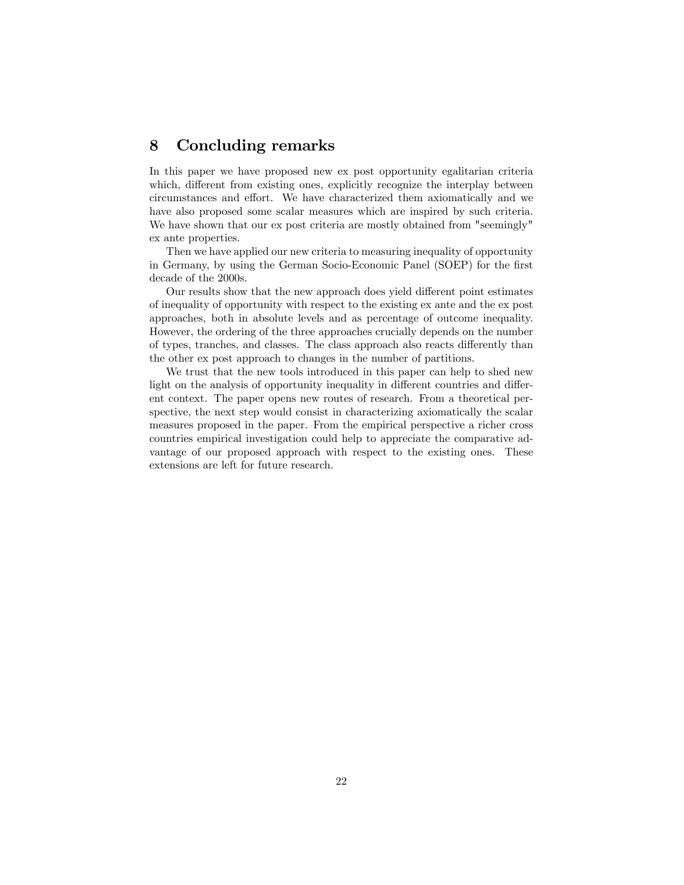## 8 Concluding remarks

In this paper we have proposed new ex post opportunity egalitarian criteria which, different from existing ones, explicitly recognize the interplay between circumstances and effort. We have characterized them axiomatically and we have also proposed some scalar measures which are inspired by such criteria. We have shown that our ex post criteria are mostly obtained from "seemingly" ex ante properties.

Then we have applied our new criteria to measuring inequality of opportunity in Germany, by using the German Socio-Economic Panel (SOEP) for the first decade of the 2000s.

Our results show that the new approach does yield different point estimates of inequality of opportunity with respect to the existing ex ante and the ex post approaches, both in absolute levels and as percentage of outcome inequality. However, the ordering of the three approaches crucially depends on the number of types, tranches, and classes. The class approach also reacts differently than the other ex post approach to changes in the number of partitions.

We trust that the new tools introduced in this paper can help to shed new light on the analysis of opportunity inequality in different countries and different context. The paper opens new routes of research. From a theoretical perspective, the next step would consist in characterizing axiomatically the scalar measures proposed in the paper. From the empirical perspective a richer cross countries empirical investigation could help to appreciate the comparative advantage of our proposed approach with respect to the existing ones. These extensions are left for future research.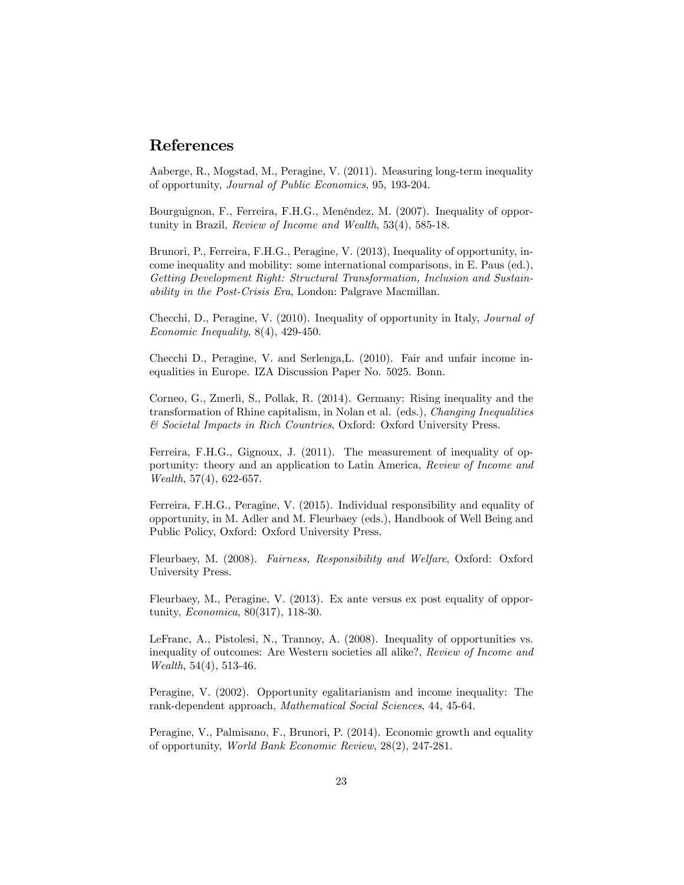## References

Aaberge, R., Mogstad, M., Peragine, V. (2011). Measuring long-term inequality of opportunity, Journal of Public Economics, 95, 193-204.

Bourguignon, F., Ferreira, F.H.G., MenÈndez, M. (2007). Inequality of opportunity in Brazil, Review of Income and Wealth, 53(4), 585-18.

Brunori, P., Ferreira, F.H.G., Peragine, V. (2013), Inequality of opportunity, income inequality and mobility: some international comparisons, in E. Paus (ed.), Getting Development Right: Structural Transformation, Inclusion and Sustainability in the Post-Crisis Era, London: Palgrave Macmillan.

Checchi, D., Peragine, V. (2010). Inequality of opportunity in Italy, Journal of Economic Inequality, 8(4), 429-450.

Checchi D., Peragine, V. and Serlenga,L. (2010). Fair and unfair income inequalities in Europe. IZA Discussion Paper No. 5025. Bonn.

Corneo, G., Zmerli, S., Pollak, R. (2014). Germany: Rising inequality and the transformation of Rhine capitalism, in Nolan et al. (eds.), Changing Inequalities & Societal Impacts in Rich Countries, Oxford: Oxford University Press.

Ferreira, F.H.G., Gignoux, J. (2011). The measurement of inequality of opportunity: theory and an application to Latin America, Review of Income and Wealth, 57(4), 622-657.

Ferreira, F.H.G., Peragine, V. (2015). Individual responsibility and equality of opportunity, in M. Adler and M. Fleurbaey (eds.), Handbook of Well Being and Public Policy, Oxford: Oxford University Press.

Fleurbaey, M. (2008). Fairness, Responsibility and Welfare, Oxford: Oxford University Press.

Fleurbaey, M., Peragine, V. (2013). Ex ante versus ex post equality of opportunity, Economica, 80(317), 118-30.

LeFranc, A., Pistolesi, N., Trannoy, A. (2008). Inequality of opportunities vs. inequality of outcomes: Are Western societies all alike?, Review of Income and Wealth, 54(4), 513-46.

Peragine, V. (2002). Opportunity egalitarianism and income inequality: The rank-dependent approach, Mathematical Social Sciences, 44, 45-64.

Peragine, V., Palmisano, F., Brunori, P. (2014). Economic growth and equality of opportunity, World Bank Economic Review, 28(2), 247-281.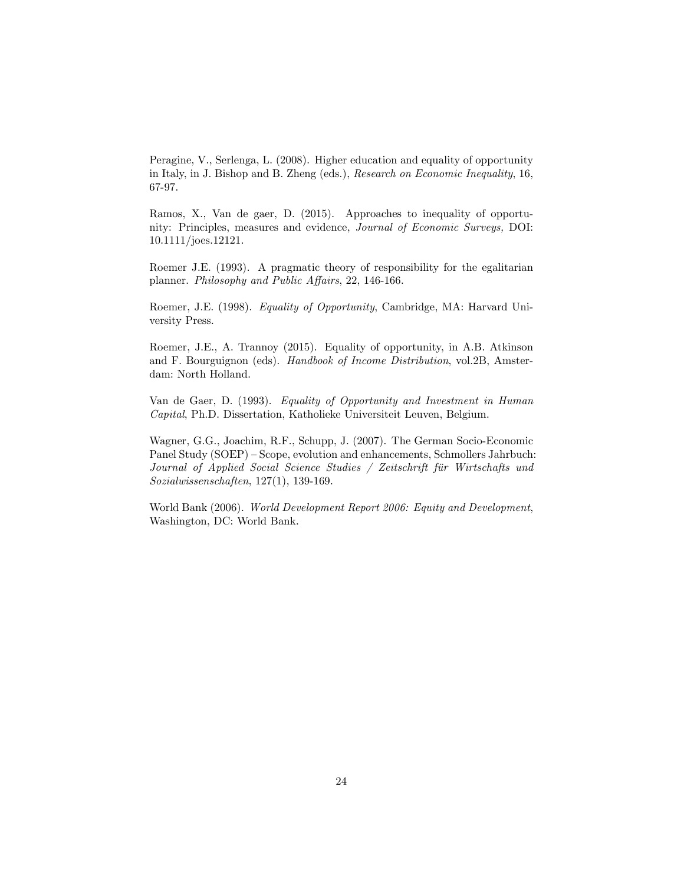Peragine, V., Serlenga, L. (2008). Higher education and equality of opportunity in Italy, in J. Bishop and B. Zheng (eds.), Research on Economic Inequality, 16, 67-97.

Ramos, X., Van de gaer, D. (2015). Approaches to inequality of opportunity: Principles, measures and evidence, Journal of Economic Surveys, DOI: 10.1111/joes.12121.

Roemer J.E. (1993). A pragmatic theory of responsibility for the egalitarian planner. Philosophy and Public Affairs, 22, 146-166.

Roemer, J.E. (1998). Equality of Opportunity, Cambridge, MA: Harvard University Press.

Roemer, J.E., A. Trannoy (2015). Equality of opportunity, in A.B. Atkinson and F. Bourguignon (eds). Handbook of Income Distribution, vol.2B, Amsterdam: North Holland.

Van de Gaer, D. (1993). Equality of Opportunity and Investment in Human Capital, Ph.D. Dissertation, Katholieke Universiteit Leuven, Belgium.

Wagner, G.G., Joachim, R.F., Schupp, J. (2007). The German Socio-Economic Panel Study (SOEP) – Scope, evolution and enhancements, Schmollers Jahrbuch: Journal of Applied Social Science Studies / Zeitschrift für Wirtschafts und Sozialwissenschaften, 127(1), 139-169.

World Bank (2006). World Development Report 2006: Equity and Development, Washington, DC: World Bank.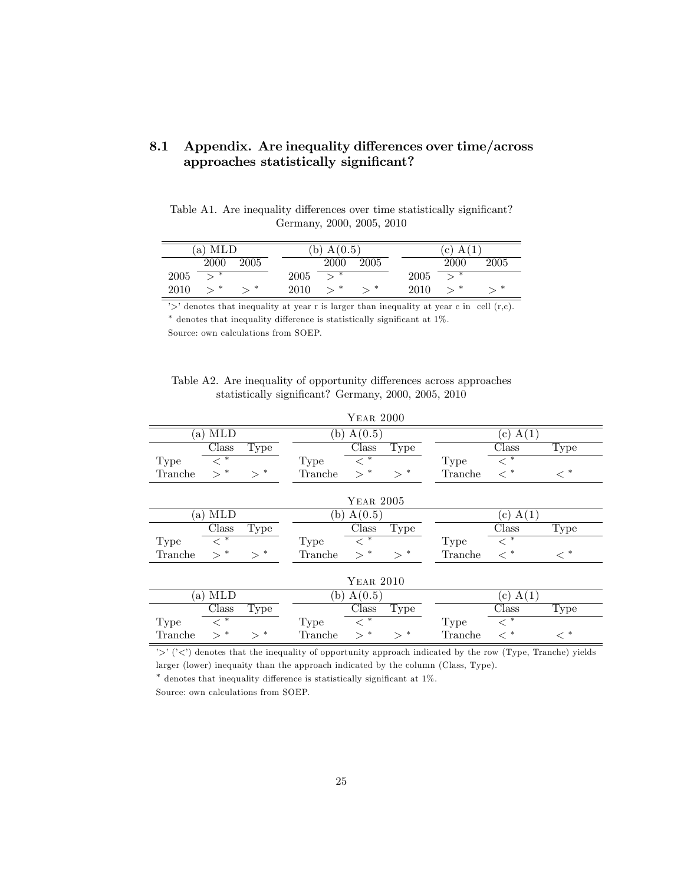| 8.1 Appendix. Are inequality differences over time/across |  |
|-----------------------------------------------------------|--|
| approaches statistically significant?                     |  |

Table A1. Are inequality differences over time statistically significant? Germany, 2000, 2005, 2010

|      | MLD<br>a |      |      | 0.5<br>А |      |      | А<br>с      |      |  |
|------|----------|------|------|----------|------|------|-------------|------|--|
|      | 2000     | 2005 |      | 2000     | 2005 |      | <b>2000</b> | 2005 |  |
| 2005 | ∗        |      | 2005 | $\ast$   |      | 2005 | ∗           |      |  |
| 2010 | ∗        | -∗   | 2010 | ∗        | ∗    | 2010 | ∗           | ∗    |  |

 $\Rightarrow$  denotes that inequality at year r is larger than inequality at year c in cell (r,c).

 $*$  denotes that inequality difference is statistically significant at 1%.

Source: own calculations from SOEP.

| Table A2. Are inequality of opportunity differences across approaches |
|-----------------------------------------------------------------------|
| statistically significant? Germany, 2000, 2005, 2010                  |

|             |                    |           |             | <b>YEAR 2000</b>                                      |             |             |                                         |         |
|-------------|--------------------|-----------|-------------|-------------------------------------------------------|-------------|-------------|-----------------------------------------|---------|
| a)          | <b>MLD</b>         |           | (b)         | A(0.5)                                                |             |             | A(1)<br>$\epsilon$ )                    |         |
|             | Class              | Type      |             | Class                                                 | Type        |             | Class                                   | Type    |
| <b>Type</b> | $\overline{<}^*$   |           | Type        | $<\,^*$                                               |             | Type        | $<\,^*$                                 |         |
| Tranche     | $>$ *              | $>^{\,*}$ | Tranche     | $>$ *                                                 | $>$ *       | Tranche     | $<\,^*$                                 | $\lt^*$ |
|             |                    |           |             |                                                       |             |             |                                         |         |
|             |                    |           |             | <b>YEAR 2005</b>                                      |             |             |                                         |         |
| a)          | <b>MLD</b>         |           | (b)         | A(0.5)                                                |             |             | A(1)<br>$\mathbf{c}$ )                  |         |
|             | Class              | Type      |             | Class                                                 | <b>Type</b> |             | Class                                   | Type    |
| Type        | $\ast$<br>$\,<\,$  |           | <b>Type</b> | $\ast$<br>$\,<\,$                                     |             | <b>Type</b> | $\ast$<br>$\lt$                         |         |
| Tranche     | $>$ *              | $>^*$     | Tranche     | $>$ *                                                 | $>$ *       | Tranche     | $<\,^*$                                 | $<\,^*$ |
|             |                    |           |             |                                                       |             |             |                                         |         |
|             |                    |           |             | YEAR 2010                                             |             |             |                                         |         |
| a)          | $ML\overline{D}$   |           | (b)         | A(0.5)                                                |             |             | A(1)<br>$\mathbf{c}$ )                  |         |
|             | Class              | Type      |             | Class                                                 | Type        |             | $\rm Class$                             | Type    |
| Type        | $<^{\overline{*}}$ |           | Type        | $<^{\overline{\phantom{m}}\hspace{-.1em}\phantom{m}}$ |             | Type        | $<^{\overline{\phantom{m}}\phantom{m}}$ |         |
| Tranche     | $>^{\ast}$         | $>^{\,*}$ | Tranche     | $\ast$<br>$\geq$                                      | $>^{\ast}$  | Tranche     | $<\,^*$                                 | $<\,^*$ |

'>' ('<') denotes that the inequality of opportunity approach indicated by the row (Type, Tranche) yields larger (lower) inequaity than the approach indicated by the column (Class, Type).

 $*$  denotes that inequality difference is statistically significant at  $1\%$ .

Source: own calculations from SOEP.